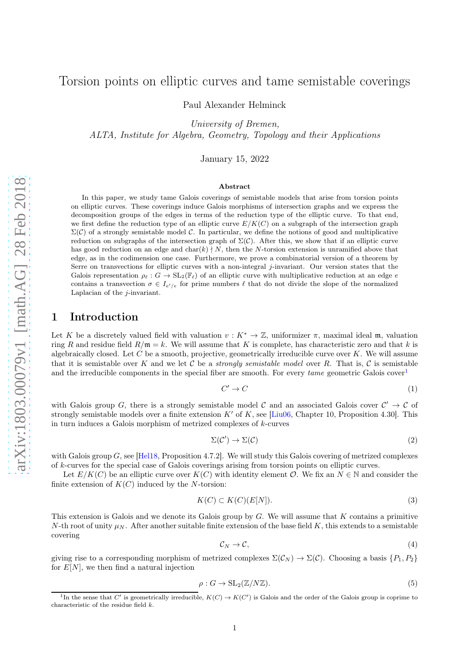# Torsion points on elliptic curves and tame semistable coverings

Paul Alexander Helminck

University of Bremen, ALTA, Institute for Algebra, Geometry, Topology and their Applications

January 15, 2022

#### Abstract

In this paper, we study tame Galois coverings of semistable models that arise from torsion points on elliptic curves. These coverings induce Galois morphisms of intersection graphs and we express the decomposition groups of the edges in terms of the reduction type of the elliptic curve. To that end, we first define the reduction type of an elliptic curve  $E/K(C)$  on a subgraph of the intersection graph  $\Sigma(\mathcal{C})$  of a strongly semistable model C. In particular, we define the notions of good and multiplicative reduction on subgraphs of the intersection graph of  $\Sigma(\mathcal{C})$ . After this, we show that if an elliptic curve has good reduction on an edge and char(k)  $\nmid N$ , then the N-torsion extension is unramified above that edge, as in the codimension one case. Furthermore, we prove a combinatorial version of a theorem by Serre on transvections for elliptic curves with a non-integral j-invariant. Our version states that the Galois representation  $\rho_{\ell}: G \to SL_2(\mathbb{F}_{\ell})$  of an elliptic curve with multiplicative reduction at an edge  $e$ contains a transvection  $\sigma \in I_{e'/e}$  for prime numbers  $\ell$  that do not divide the slope of the normalized Laplacian of the j-invariant.

### 1 Introduction

Let K be a discretely valued field with valuation  $v : K^* \to \mathbb{Z}$ , uniformizer  $\pi$ , maximal ideal m, valuation ring R and residue field  $R/\mathfrak{m} = k$ . We will assume that K is complete, has characteristic zero and that k is algebraically closed. Let  $C$  be a smooth, projective, geometrically irreducible curve over  $K$ . We will assume that it is semistable over K and we let C be a *strongly semistable model* over R. That is, C is semistable and the irreducible components in the special fiber are smooth. For every  $tame$  geometric Galois cover<sup>[1](#page-0-0)</sup>

$$
C' \to C \tag{1}
$$

with Galois group G, there is a strongly semistable model C and an associated Galois cover  $\mathcal{C}' \to \mathcal{C}$  of strongly semistable models over a finite extension K' of K, see  $[Liu06, Chapter 10, Proposition 4.30]$ . This in turn induces a Galois morphism of metrized complexes of k-curves

$$
\Sigma(\mathcal{C}') \to \Sigma(\mathcal{C}) \tag{2}
$$

with Galois group  $G$ , see [\[Hel18,](#page-17-1) Proposition 4.7.2]. We will study this Galois covering of metrized complexes of k-curves for the special case of Galois coverings arising from torsion points on elliptic curves.

Let  $E/K(C)$  be an elliptic curve over  $K(C)$  with identity element  $\mathcal{O}$ . We fix an  $N \in \mathbb{N}$  and consider the finite extension of  $K(C)$  induced by the N-torsion:

$$
K(C) \subset K(C)(E[N]). \tag{3}
$$

This extension is Galois and we denote its Galois group by  $G$ . We will assume that  $K$  contains a primitive N-th root of unity  $\mu_N$ . After another suitable finite extension of the base field K, this extends to a semistable covering

$$
\mathcal{C}_N \to \mathcal{C},\tag{4}
$$

giving rise to a corresponding morphism of metrized complexes  $\Sigma(\mathcal{C}_N) \to \Sigma(\mathcal{C})$ . Choosing a basis  $\{P_1, P_2\}$ for  $E[N]$ , we then find a natural injection

$$
\rho: G \to \mathrm{SL}_2(\mathbb{Z}/N\mathbb{Z}).\tag{5}
$$

<span id="page-0-0"></span><sup>&</sup>lt;sup>1</sup>In the sense that C' is geometrically irreducible,  $K(C) \to K(C')$  is Galois and the order of the Galois group is coprime to characteristic of the residue field  $k$ .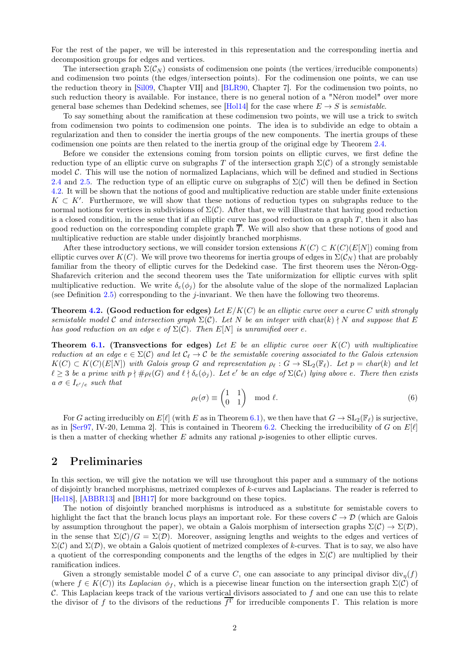For the rest of the paper, we will be interested in this representation and the corresponding inertia and decomposition groups for edges and vertices.

The intersection graph  $\Sigma(\mathcal{C}_N)$  consists of codimension one points (the vertices/irreducible components) and codimension two points (the edges/intersection points). For the codimension one points, we can use the reduction theory in [\[Sil09,](#page-17-2) Chapter VII] and [\[BLR90,](#page-17-3) Chapter 7]. For the codimension two points, no such reduction theory is available. For instance, there is no general notion of a "Néron model" over more general base schemes than Dedekind schemes, see [\[Hol14\]](#page-17-4) for the case where  $E \to S$  is semistable.

To say something about the ramification at these codimension two points, we will use a trick to switch from codimension two points to codimension one points. The idea is to subdivide an edge to obtain a regularization and then to consider the inertia groups of the new components. The inertia groups of these codimension one points are then related to the inertia group of the original edge by Theorem [2.4.](#page-7-0)

Before we consider the extensions coming from torsion points on elliptic curves, we first define the reduction type of an elliptic curve on subgraphs T of the intersection graph  $\Sigma(\mathcal{C})$  of a strongly semistable model  $C$ . This will use the notion of normalized Laplacians, which will be defined and studied in Sections [2.4](#page-4-0) and [2.5.](#page-5-0) The reduction type of an elliptic curve on subgraphs of  $\Sigma(\mathcal{C})$  will then be defined in Section [4.2.](#page-11-0) It will be shown that the notions of good and multiplicative reduction are stable under finite extensions  $K \subset K'$ . Furthermore, we will show that these notions of reduction types on subgraphs reduce to the normal notions for vertices in subdivisions of  $\Sigma(\mathcal{C})$ . After that, we will illustrate that having good reduction is a closed condition, in the sense that if an elliptic curve has good reduction on a graph  $T$ , then it also has good reduction on the corresponding complete graph  $\overline{T}$ . We will also show that these notions of good and multiplicative reduction are stable under disjointly branched morphisms.

After these introductory sections, we will consider torsion extensions  $K(C) \subset K(C)(E[N])$  coming from elliptic curves over  $K(C)$ . We will prove two theorems for inertia groups of edges in  $\Sigma(\mathcal{C}_N)$  that are probably familiar from the theory of elliptic curves for the Dedekind case. The first theorem uses the Néron-Ogg-Shafarevich criterion and the second theorem uses the Tate uniformization for elliptic curves with split multiplicative reduction. We write  $\delta_e(\phi_i)$  for the absolute value of the slope of the normalized Laplacian (see Definition [2.5\)](#page-5-1) corresponding to the *j*-invariant. We then have the following two theorems.

**Theorem [4.2.](#page-13-0)** (Good reduction for edges) Let  $E/K(C)$  be an elliptic curve over a curve C with strongly semistable model C and intersection graph  $\Sigma(\mathcal{C})$ . Let N be an integer with char(k)  $\nmid N$  and suppose that E has good reduction on an edge e of  $\Sigma(\mathcal{C})$ . Then  $E[N]$  is unramified over e.

**Theorem [6.1.](#page-15-0) (Transvections for edges)** Let E be an elliptic curve over  $K(C)$  with multiplicative reduction at an edge  $e \in \Sigma(\mathcal{C})$  and let  $\mathcal{C}_{\ell} \to \mathcal{C}$  be the semistable covering associated to the Galois extension  $K(C) \subset K(C)(E[N])$  with Galois group G and representation  $\rho_{\ell}: G \to SL_2(\mathbb{F}_{\ell})$ . Let  $p = char(k)$  and let  $\ell \geq 3$  be a prime with  $p \nmid \#\rho_{\ell}(G)$  and  $\ell \nmid \delta_e(\phi_j)$ . Let e' be an edge of  $\Sigma(\mathcal{C}_{\ell})$  lying above e. There then exists  $a \sigma \in I_{e^{\prime}/e}$  such that

$$
\rho_{\ell}(\sigma) \equiv \begin{pmatrix} 1 & 1 \\ 0 & 1 \end{pmatrix} \mod \ell.
$$
 (6)

For G acting irreducibly on  $E[\ell]$  (with E as in Theorem [6.1\)](#page-15-0), we then have that  $G \to SL_2(\mathbb{F}_\ell)$  is surjective, as in [\[Ser97,](#page-17-5) IV-20, Lemma 2]. This is contained in Theorem [6.2.](#page-16-0) Checking the irreducibility of G on  $E[\ell]$ is then a matter of checking whether  $E$  admits any rational  $p$ -isogenies to other elliptic curves.

# 2 Preliminaries

In this section, we will give the notation we will use throughout this paper and a summary of the notions of disjointly branched morphisms, metrized complexes of k-curves and Laplacians. The reader is referred to [\[Hel18\]](#page-17-1), [\[ABBR13\]](#page-17-6) and [\[BH17\]](#page-17-7) for more background on these topics.

The notion of disjointly branched morphisms is introduced as a substitute for semistable covers to highlight the fact that the branch locus plays an important role. For these covers  $\mathcal{C} \to \mathcal{D}$  (which are Galois by assumption throughout the paper), we obtain a Galois morphism of intersection graphs  $\Sigma(\mathcal{C}) \to \Sigma(\mathcal{D})$ , in the sense that  $\Sigma(\mathcal{C})/G = \Sigma(\mathcal{D})$ . Moreover, assigning lengths and weights to the edges and vertices of  $\Sigma(\mathcal{C})$  and  $\Sigma(\mathcal{D})$ , we obtain a Galois quotient of metrized complexes of k-curves. That is to say, we also have a quotient of the corresponding components and the lengths of the edges in  $\Sigma(\mathcal{C})$  are multiplied by their ramification indices.

Given a strongly semistable model C of a curve C, one can associate to any principal divisor  $\text{div}_n(f)$ (where  $f \in K(C)$ ) its Laplacian  $\phi_f$ , which is a piecewise linear function on the intersection graph  $\Sigma(C)$  of C. This Laplacian keeps track of the various vertical divisors associated to  $f$  and one can use this to relate the divisor of f to the divisors of the reductions  $f^{\Gamma}$  for irreducible components  $\Gamma$ . This relation is more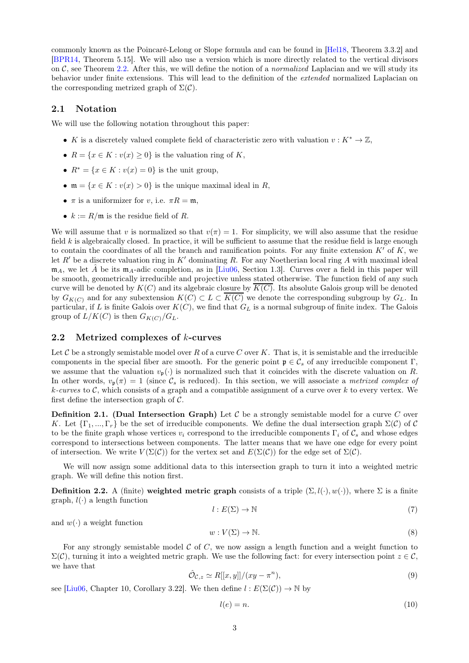commonly known as the Poincaré-Lelong or Slope formula and can be found in [\[Hel18,](#page-17-1) Theorem 3.3.2] and [\[BPR14,](#page-17-8) Theorem 5.15]. We will also use a version which is more directly related to the vertical divisors on  $\mathcal{C}$ , see Theorem [2.2.](#page-4-1) After this, we will define the notion of a *normalized* Laplacian and we will study its behavior under finite extensions. This will lead to the definition of the extended normalized Laplacian on the corresponding metrized graph of  $\Sigma(\mathcal{C})$ .

### 2.1 Notation

We will use the following notation throughout this paper:

- K is a discretely valued complete field of characteristic zero with valuation  $v : K^* \to \mathbb{Z}$ ,
- $R = \{x \in K : v(x) \geq 0\}$  is the valuation ring of K,
- $R^* = \{x \in K : v(x) = 0\}$  is the unit group,
- $\mathfrak{m} = \{x \in K : v(x) > 0\}$  is the unique maximal ideal in R,
- $\pi$  is a uniformizer for v, i.e.  $\pi R = \mathfrak{m}$ ,
- $k := R/\mathfrak{m}$  is the residue field of R.

We will assume that v is normalized so that  $v(\pi) = 1$ . For simplicity, we will also assume that the residue field  $k$  is algebraically closed. In practice, it will be sufficient to assume that the residue field is large enough to contain the coordinates of all the branch and ramification points. For any finite extension  $K'$  of  $K$ , we let  $R'$  be a discrete valuation ring in  $K'$  dominating R. For any Noetherian local ring A with maximal ideal  $m_A$ , we let  $\tilde{A}$  be its  $m_A$ -adic completion, as in [\[Liu06,](#page-17-0) Section 1.3]. Curves over a field in this paper will be smooth, geometrically irreducible and projective unless stated otherwise. The function field of any such curve will be denoted by  $K(C)$  and its algebraic closure by  $\overline{K(C)}$ . Its absolute Galois group will be denoted by  $G_{K(C)}$  and for any subextension  $K(C) \subset L \subset \overline{K(C)}$  we denote the corresponding subgroup by  $G_L$ . In particular, if L is finite Galois over  $K(C)$ , we find that  $G_L$  is a normal subgroup of finite index. The Galois group of  $L/K(C)$  is then  $G_{K(C)}/G_L$ .

### 2.2 Metrized complexes of k-curves

Let C be a strongly semistable model over R of a curve C over K. That is, it is semistable and the irreducible components in the special fiber are smooth. For the generic point  $\mathfrak{p} \in \mathcal{C}_s$  of any irreducible component  $\Gamma$ , we assume that the valuation  $v_p(\cdot)$  is normalized such that it coincides with the discrete valuation on R. In other words,  $v_p(\pi) = 1$  (since  $\mathcal{C}_s$  is reduced). In this section, we will associate a *metrized complex of*  $k$ -curves to C, which consists of a graph and a compatible assignment of a curve over k to every vertex. We first define the intersection graph of  $\mathcal{C}$ .

**Definition 2.1.** (Dual Intersection Graph) Let C be a strongly semistable model for a curve C over K. Let  $\{\Gamma_1,\ldots,\Gamma_r\}$  be the set of irreducible components. We define the dual intersection graph  $\Sigma(\mathcal{C})$  of  $\mathcal{C}$ to be the finite graph whose vertices  $v_i$  correspond to the irreducible components  $\Gamma_i$  of  $\mathcal{C}_s$  and whose edges correspond to intersections between components. The latter means that we have one edge for every point of intersection. We write  $V(\Sigma(\mathcal{C}))$  for the vertex set and  $E(\Sigma(\mathcal{C}))$  for the edge set of  $\Sigma(\mathcal{C})$ .

We will now assign some additional data to this intersection graph to turn it into a weighted metric graph. We will define this notion first.

**Definition 2.2.** A (finite) weighted metric graph consists of a triple  $(\Sigma, l(\cdot), w(\cdot))$ , where  $\Sigma$  is a finite graph,  $l(\cdot)$  a length function

$$
l: E(\Sigma) \to \mathbb{N} \tag{7}
$$

and  $w(\cdot)$  a weight function

$$
w: V(\Sigma) \to \mathbb{N}.\tag{8}
$$

For any strongly semistable model  $C$  of  $C$ , we now assign a length function and a weight function to  $\Sigma(\mathcal{C})$ , turning it into a weighted metric graph. We use the following fact: for every intersection point  $z \in \mathcal{C}$ , we have that

$$
\hat{\mathcal{O}}_{\mathcal{C},z} \simeq R[[x,y]]/(xy - \pi^n),\tag{9}
$$

see [\[Liu06,](#page-17-0) Chapter 10, Corollary 3.22]. We then define  $l : E(\Sigma(\mathcal{C})) \to \mathbb{N}$  by

$$
l(e) = n.\t\t(10)
$$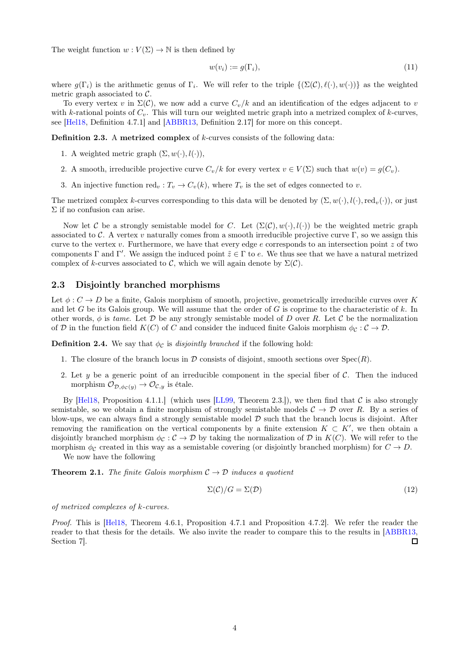The weight function  $w: V(\Sigma) \to \mathbb{N}$  is then defined by

$$
w(v_i) := g(\Gamma_i),\tag{11}
$$

where  $g(\Gamma_i)$  is the arithmetic genus of  $\Gamma_i$ . We will refer to the triple  $\{(\Sigma(\mathcal{C}), \ell(\cdot), w(\cdot))\}$  as the weighted metric graph associated to  $\mathcal{C}$ .

To every vertex v in  $\Sigma(\mathcal{C})$ , we now add a curve  $C_v/k$  and an identification of the edges adjacent to v with k-rational points of  $C_v$ . This will turn our weighted metric graph into a metrized complex of k-curves, see [\[Hel18,](#page-17-1) Definition 4.7.1] and [\[ABBR13,](#page-17-6) Definition 2.17] for more on this concept.

Definition 2.3. A metrized complex of k-curves consists of the following data:

- 1. A weighted metric graph  $(\Sigma, w(\cdot), l(\cdot)),$
- 2. A smooth, irreducible projective curve  $C_v/k$  for every vertex  $v \in V(\Sigma)$  such that  $w(v) = q(C_v)$ .
- 3. An injective function red<sub>v</sub>:  $T_v \to C_v(k)$ , where  $T_v$  is the set of edges connected to v.

The metrized complex k-curves corresponding to this data will be denoted by  $(\Sigma, w(\cdot), l(\cdot), \text{red}_v(\cdot))$ , or just Σ if no confusion can arise.

Now let C be a strongly semistable model for C. Let  $(\Sigma(\mathcal{C}), w(\cdot), l(\cdot))$  be the weighted metric graph associated to C. A vertex v naturally comes from a smooth irreducible projective curve Γ, so we assign this curve to the vertex v. Furthermore, we have that every edge  $e$  corresponds to an intersection point  $z$  of two components  $\Gamma$  and  $\Gamma'$ . We assign the induced point  $\tilde{z} \in \Gamma$  to e. We thus see that we have a natural metrized complex of k-curves associated to C, which we will again denote by  $\Sigma(\mathcal{C})$ .

### <span id="page-3-0"></span>2.3 Disjointly branched morphisms

Let  $\phi: C \to D$  be a finite, Galois morphism of smooth, projective, geometrically irreducible curves over K and let G be its Galois group. We will assume that the order of G is coprime to the characteristic of  $k$ . In other words,  $\phi$  is tame. Let D be any strongly semistable model of D over R. Let C be the normalization of D in the function field  $K(C)$  of C and consider the induced finite Galois morphism  $\phi_{\mathcal{C}} : \mathcal{C} \to \mathcal{D}$ .

**Definition 2.4.** We say that  $\phi_c$  is *disjointly branched* if the following hold:

- 1. The closure of the branch locus in  $\mathcal D$  consists of disjoint, smooth sections over  $\text{Spec}(R)$ .
- 2. Let y be a generic point of an irreducible component in the special fiber of  $\mathcal{C}$ . Then the induced morphism  $\mathcal{O}_{\mathcal{D},\phi_{\mathcal{C}}(y)} \to \mathcal{O}_{\mathcal{C},y}$  is étale.

By [\[Hel18,](#page-17-1) Proposition 4.1.1.] (which uses [\[LL99,](#page-17-9) Theorem 2.3.]), we then find that  $\mathcal C$  is also strongly semistable, so we obtain a finite morphism of strongly semistable models  $C \rightarrow \mathcal{D}$  over R. By a series of blow-ups, we can always find a strongly semistable model  $D$  such that the branch locus is disjoint. After removing the ramification on the vertical components by a finite extension  $K \subset K'$ , we then obtain a disjointly branched morphism  $\phi_{\mathcal{C}} : \mathcal{C} \to \mathcal{D}$  by taking the normalization of  $\mathcal{D}$  in  $K(C)$ . We will refer to the morphism  $\phi_c$  created in this way as a semistable covering (or disjointly branched morphism) for  $C \to D$ .

We now have the following

**Theorem 2.1.** The finite Galois morphism  $C \rightarrow D$  induces a quotient

$$
\Sigma(\mathcal{C})/G = \Sigma(\mathcal{D})\tag{12}
$$

of metrized complexes of k-curves.

Proof. This is [\[Hel18,](#page-17-1) Theorem 4.6.1, Proposition 4.7.1 and Proposition 4.7.2]. We refer the reader the reader to that thesis for the details. We also invite the reader to compare this to the results in [\[ABBR13,](#page-17-6) Section 7].  $\Box$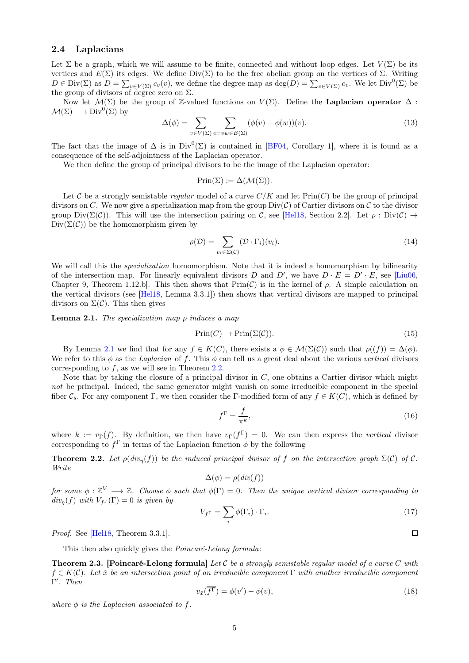### <span id="page-4-0"></span>2.4 Laplacians

Let  $\Sigma$  be a graph, which we will assume to be finite, connected and without loop edges. Let  $V(\Sigma)$  be its vertices and  $E(\Sigma)$  its edges. We define Div(Σ) to be the free abelian group on the vertices of Σ. Writing  $D \in \text{Div}(\Sigma)$  as  $D = \sum_{v \in V(\Sigma)} c_v(v)$ , we define the degree map as  $\deg(D) = \sum_{v \in V(\Sigma)} c_v$ . We let  $\text{Div}^0(\Sigma)$  be the group of divisors of degree zero on  $\Sigma$ .

Now let  $\mathcal{M}(\Sigma)$  be the group of Z-valued functions on  $V(\Sigma)$ . Define the **Laplacian operator**  $\Delta$ :  $\mathcal{M}(\Sigma) \longrightarrow \text{Div}^{0}(\Sigma)$  by

<span id="page-4-3"></span>
$$
\Delta(\phi) = \sum_{v \in V(\Sigma)} \sum_{e = vw \in E(\Sigma)} (\phi(v) - \phi(w))(v).
$$
\n(13)

The fact that the image of  $\Delta$  is in Div<sup>0</sup>( $\Sigma$ ) is contained in [\[BF04,](#page-17-10) Corollary 1], where it is found as a consequence of the self-adjointness of the Laplacian operator.

We then define the group of principal divisors to be the image of the Laplacian operator:

$$
Prin(\Sigma) := \Delta(\mathcal{M}(\Sigma)).
$$

Let C be a strongly semistable regular model of a curve  $C/K$  and let  $Prin(C)$  be the group of principal divisors on C. We now give a specialization map from the group  $Div(C)$  of Cartier divisors on C to the divisor group  $Div(\Sigma(\mathcal{C}))$ . This will use the intersection pairing on C, see [\[Hel18,](#page-17-1) Section 2.2]. Let  $\rho : Div(\mathcal{C}) \to$  $Div(\Sigma(\mathcal{C}))$  be the homomorphism given by

$$
\rho(\mathcal{D}) = \sum_{v_i \in \Sigma(\mathcal{C})} (\mathcal{D} \cdot \Gamma_i)(v_i). \tag{14}
$$

We will call this the *specialization* homomorphism. Note that it is indeed a homomorphism by bilinearity of the intersection map. For linearly equivalent divisors D and D', we have  $D \cdot E = D' \cdot E$ , see [\[Liu06,](#page-17-0) Chapter 9, Theorem 1.12.b]. This then shows that  $Prin(\mathcal{C})$  is in the kernel of  $\rho$ . A simple calculation on the vertical divisors (see [\[Hel18,](#page-17-1) Lemma 3.3.1]) then shows that vertical divisors are mapped to principal divisors on  $\Sigma(\mathcal{C})$ . This then gives

<span id="page-4-2"></span>**Lemma 2.1.** The specialization map  $\rho$  induces a map

$$
\text{Prin}(C) \to \text{Prin}(\Sigma(\mathcal{C})).\tag{15}
$$

By Lemma [2.1](#page-4-2) we find that for any  $f \in K(C)$ , there exists a  $\phi \in \mathcal{M}(\Sigma(\mathcal{C}))$  such that  $\rho((f)) = \Delta(\phi)$ . We refer to this  $\phi$  as the Laplacian of f. This  $\phi$  can tell us a great deal about the various vertical divisors corresponding to f, as we will see in Theorem [2.2.](#page-4-1)

Note that by taking the closure of a principal divisor in  $C$ , one obtains a Cartier divisor which might not be principal. Indeed, the same generator might vanish on some irreducible component in the special fiber  $\mathcal{C}_s$ . For any component Γ, we then consider the Γ-modified form of any  $f \in K(C)$ , which is defined by

$$
f^{\Gamma} = \frac{f}{\pi^k},\tag{16}
$$

where  $k := v_{\Gamma}(f)$ . By definition, we then have  $v_{\Gamma}(f^{\Gamma}) = 0$ . We can then express the vertical divisor corresponding to  $f^{\Gamma}$  in terms of the Laplacian function  $\phi$  by the following

<span id="page-4-1"></span>**Theorem 2.2.** Let  $\rho(\text{div}_n(f))$  be the induced principal divisor of f on the intersection graph  $\Sigma(\mathcal{C})$  of  $\mathcal{C}$ . Write

$$
\Delta(\phi) = \rho(\text{div}(f))
$$

for some  $\phi: \mathbb{Z}^V \longrightarrow \mathbb{Z}$ . Choose  $\phi$  such that  $\phi(\Gamma) = 0$ . Then the unique vertical divisor corresponding to  $div_n(f)$  with  $V_{f\Gamma}(\Gamma) = 0$  is given by

$$
V_{f^{\Gamma}} = \sum_{i} \phi(\Gamma_{i}) \cdot \Gamma_{i}.
$$
 (17)

Proof. See [\[Hel18,](#page-17-1) Theorem 3.3.1].

This then also quickly gives the Poincaré-Lelong formula:

**Theorem 2.3. [Poincaré-Lelong formula]** Let C be a strongly semistable regular model of a curve C with  $f \in K(\mathcal{C})$ . Let  $\tilde{x}$  be an intersection point of an irreducible component  $\Gamma$  with another irreducible component Γ ′ . Then

$$
v_{\tilde{x}}(\overline{f^{\Gamma}}) = \phi(v') - \phi(v),
$$
\n(18)

where  $\phi$  is the Laplacian associated to f.

 $\Box$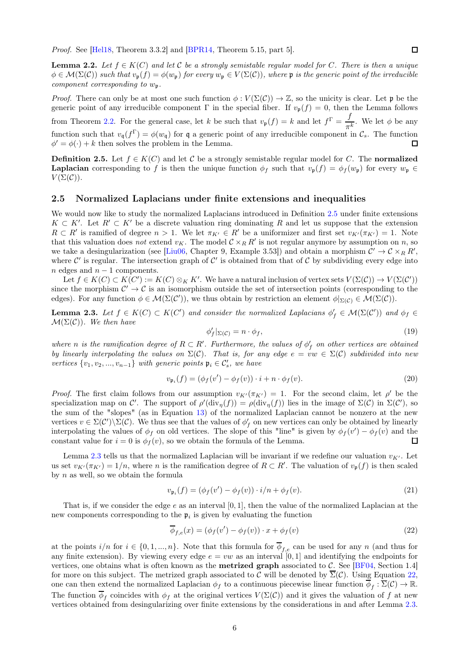Proof. See [\[Hel18,](#page-17-1) Theorem 3.3.2] and [\[BPR14,](#page-17-8) Theorem 5.15, part 5].

**Lemma 2.2.** Let  $f \in K(C)$  and let C be a strongly semistable regular model for C. There is then a unique  $\phi \in \mathcal{M}(\Sigma(\mathcal{C}))$  such that  $v_{\mathfrak{p}}(f) = \phi(w_{\mathfrak{p}})$  for every  $w_{\mathfrak{p}} \in V(\Sigma(\mathcal{C}))$ , where  $\mathfrak{p}$  is the generic point of the irreducible component corresponding to  $w_p$ .

*Proof.* There can only be at most one such function  $\phi: V(\Sigma(\mathcal{C})) \to \mathbb{Z}$ , so the unicity is clear. Let p be the generic point of any irreducible component  $\Gamma$  in the special fiber. If  $v_{\mathfrak{p}}(f) = 0$ , then the Lemma follows from Theorem [2.2.](#page-4-1) For the general case, let k be such that  $v_{p}(f) = k$  and let  $f^{\Gamma} = \frac{f}{f}$  $\frac{J}{\pi^k}$ . We let  $\phi$  be any function such that  $v_{\mathfrak{q}}(f^{\Gamma}) = \phi(w_{\mathfrak{q}})$  for  $\mathfrak{q}$  a generic point of any irreducible component in  $\mathcal{C}_s$ . The function  $\phi' = \phi(\cdot) + k$  then solves the problem in the Lemma.  $\Box$ 

<span id="page-5-1"></span>**Definition 2.5.** Let  $f \in K(C)$  and let C be a strongly semistable regular model for C. The normalized **Laplacian** corresponding to f is then the unique function  $\phi_f$  such that  $v_p(f) = \phi_f(w_p)$  for every  $w_p \in$  $V(\Sigma(\mathcal{C}))$ .

#### <span id="page-5-0"></span>2.5 Normalized Laplacians under finite extensions and inequalities

We would now like to study the normalized Laplacians introduced in Definition [2.5](#page-5-1) under finite extensions  $K \subset K'$ . Let  $R' \subset K'$  be a discrete valuation ring dominating R and let us suppose that the extension  $R \subset R'$  is ramified of degree  $n > 1$ . We let  $\pi_{K'} \in R'$  be a uniformizer and first set  $v_{K'}(\pi_{K'}) = 1$ . Note that this valuation does not extend  $v_K$ . The model  $C \times_R R'$  is not regular anymore by assumption on n, so we take a desingularization (see [\[Liu06,](#page-17-0) Chapter 9, Example 3.53]) and obtain a morphism  $C' \to C \times_R R'$ , where  $\mathcal{C}'$  is regular. The intersection graph of  $\mathcal{C}'$  is obtained from that of  $\mathcal{C}$  by subdividing every edge into  $n$  edges and  $n - 1$  components.

Let  $f \in K(C) \subset K(C') := K(C) \otimes_K K'$ . We have a natural inclusion of vertex sets  $V(\Sigma(\mathcal{C})) \to V(\Sigma(\mathcal{C}'))$ since the morphism  $\mathcal{C}' \to \mathcal{C}$  is an isomorphism outside the set of intersection points (corresponding to the edges). For any function  $\phi \in \mathcal{M}(\Sigma(\mathcal{C}'))$ , we thus obtain by restriction an element  $\phi|_{\Sigma(\mathcal{C})} \in \mathcal{M}(\Sigma(\mathcal{C}'))$ .

<span id="page-5-2"></span>**Lemma 2.3.** Let  $f \in K(C) \subset K(C')$  and consider the normalized Laplacians  $\phi'_f \in \mathcal{M}(\Sigma(\mathcal{C}'))$  and  $\phi_f \in \mathcal{M}(\Sigma(\mathcal{C}'))$  $\mathcal{M}(\Sigma(\mathcal{C}))$ . We then have

$$
\phi'_f|_{\Sigma(\mathcal{C})} = n \cdot \phi_f,\tag{19}
$$

where n is the ramification degree of  $R \subset R'$ . Furthermore, the values of  $\phi'_f$  on other vertices are obtained by linearly interpolating the values on  $\Sigma(\mathcal{C})$ . That is, for any edge  $e = vw \in \Sigma(\mathcal{C})$  subdivided into new vertices  $\{v_1, v_2, ..., v_{n-1}\}$  with generic points  $\mathfrak{p}_i \in \mathcal{C}'_s$ , we have

$$
v_{\mathfrak{p}_i}(f) = (\phi_f(v') - \phi_f(v)) \cdot i + n \cdot \phi_f(v). \tag{20}
$$

Proof. The first claim follows from our assumption  $v_{K'}(\pi_{K'}) = 1$ . For the second claim, let  $\rho'$  be the specialization map on C'. The support of  $\rho'(\text{div}_{\eta}(f)) = \rho(\text{div}_{\eta}(f))$  lies in the image of  $\Sigma(\mathcal{C})$  in  $\Sigma(\mathcal{C}')$ , so the sum of the "slopes" (as in Equation [13\)](#page-4-3) of the normalized Laplacian cannot be nonzero at the new vertices  $v \in \Sigma(\mathcal{C}')\setminus \Sigma(\mathcal{C})$ . We thus see that the values of  $\phi'_f$  on new vertices can only be obtained by linearly interpolating the values of  $\phi_f$  on old vertices. The slope of this "line" is given by  $\phi_f(v') - \phi_f(v)$  and the constant value for  $i = 0$  is  $\phi_f(v)$ , so we obtain the formula of the Lemma.  $\Box$ 

Lemma [2.3](#page-5-2) tells us that the normalized Laplacian will be invariant if we redefine our valuation  $v_{K'}$ . Let us set  $v_{K'}(\pi_{K'})=1/n$ , where n is the ramification degree of  $R\subset R'$ . The valuation of  $v_{\mathfrak{p}}(f)$  is then scaled by  $n$  as well, so we obtain the formula

$$
v_{\mathfrak{p}_i}(f) = (\phi_f(v') - \phi_f(v)) \cdot i/n + \phi_f(v). \tag{21}
$$

That is, if we consider the edge  $e$  as an interval  $[0, 1]$ , then the value of the normalized Laplacian at the new components corresponding to the  $\mathfrak{p}_i$  is given by evaluating the function

<span id="page-5-3"></span>
$$
\overline{\phi}_{f,e}(x) = (\phi_f(v') - \phi_f(v)) \cdot x + \phi_f(v)
$$
\n(22)

at the points  $i/n$  for  $i \in \{0, 1, ..., n\}$ . Note that this formula for  $\phi_{f,e}$  can be used for any n (and thus for any finite extension). By viewing every edge  $e = vw$  as an interval [0, 1] and identifying the endpoints for vertices, one obtains what is often known as the **metrized graph** associated to C. See [\[BF04,](#page-17-10) Section 1.4] for more on this subject. The metrized graph associated to C will be denoted by  $\overline{\Sigma}(\mathcal{C})$ . Using Equation [22,](#page-5-3) one can then extend the normalized Laplacian  $\phi_f$  to a continuous piecewise linear function  $\phi_f : \Sigma(\mathcal{C}) \to \mathbb{R}$ . The function  $\phi_f$  coincides with  $\phi_f$  at the original vertices  $V(\Sigma(\mathcal{C}))$  and it gives the valuation of f at new vertices obtained from desingularizing over finite extensions by the considerations in and after Lemma [2.3.](#page-5-2)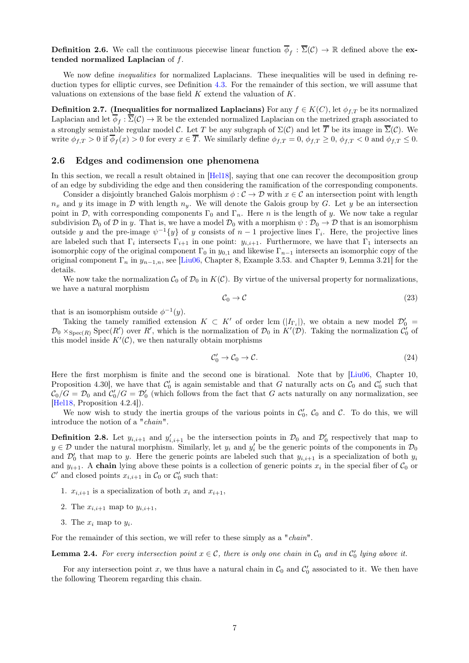**Definition 2.6.** We call the continuous piecewise linear function  $\phi_f : \Sigma(\mathcal{C}) \to \mathbb{R}$  defined above the extended normalized Laplacian of f.

We now define *inequalities* for normalized Laplacians. These inequalities will be used in defining reduction types for elliptic curves, see Definition [4.3.](#page-12-0) For the remainder of this section, we will assume that valuations on extensions of the base field  $K$  extend the valuation of  $K$ .

<span id="page-6-0"></span>Definition 2.7. (Inequalities for normalized Laplacians) For any  $f \in K(C)$ , let  $\phi_{f,T}$  be its normalized Laplacian and let  $\phi_f : \Sigma(\mathcal{C}) \to \mathbb{R}$  be the extended normalized Laplacian on the metrized graph associated to a strongly semistable regular model C. Let T be any subgraph of  $\Sigma(\mathcal{C})$  and let  $\overline{T}$  be its image in  $\overline{\Sigma}(\mathcal{C})$ . We write  $\phi_{f,T} > 0$  if  $\phi_f(x) > 0$  for every  $x \in T$ . We similarly define  $\phi_{f,T} = 0$ ,  $\phi_{f,T} \ge 0$ ,  $\phi_{f,T} < 0$  and  $\phi_{f,T} \le 0$ .

### 2.6 Edges and codimension one phenomena

In this section, we recall a result obtained in  $[Hel18]$ , saying that one can recover the decomposition group of an edge by subdividing the edge and then considering the ramification of the corresponding components.

Consider a disjointly branched Galois morphism  $\phi : \mathcal{C} \to \mathcal{D}$  with  $x \in \mathcal{C}$  an intersection point with length  $n_x$  and y its image in D with length  $n_y$ . We will denote the Galois group by G. Let y be an intersection point in D, with corresponding components  $\Gamma_0$  and  $\Gamma_n$ . Here n is the length of y. We now take a regular subdivision  $\mathcal{D}_0$  of  $\mathcal{D}$  in y. That is, we have a model  $\mathcal{D}_0$  with a morphism  $\psi : \mathcal{D}_0 \to \mathcal{D}$  that is an isomorphism outside y and the pre-image  $\psi^{-1}{y}$  of y consists of  $n-1$  projective lines  $\Gamma_i$ . Here, the projective lines are labeled such that  $\Gamma_i$  intersects  $\Gamma_{i+1}$  in one point:  $y_{i,i+1}$ . Furthermore, we have that  $\Gamma_1$  intersects an isomorphic copy of the original component  $\Gamma_0$  in  $y_{0,1}$  and likewise  $\Gamma_{n-1}$  intersects an isomorphic copy of the original component  $\Gamma_n$  in  $y_{n-1,n}$ , see [\[Liu06,](#page-17-0) Chapter 8, Example 3.53. and Chapter 9, Lemma 3.21] for the details.

We now take the normalization  $C_0$  of  $\mathcal{D}_0$  in  $K(\mathcal{C})$ . By virtue of the universal property for normalizations, we have a natural morphism

$$
C_0 \to C \tag{23}
$$

that is an isomorphism outside  $\phi^{-1}(y)$ .

Taking the tamely ramified extension  $K \subset K'$  of order lcm  $(|I_{\Gamma_i}|)$ , we obtain a new model  $\mathcal{D}'_0$  $\mathcal{D}_0 \times_{\text{Spec}(R)} \text{Spec}(R')$  over R', which is the normalization of  $\mathcal{D}_0$  in  $K'(\mathcal{D})$ . Taking the normalization  $\mathcal{C}'_0$  of this model inside  $K'(\mathcal{C})$ , we then naturally obtain morphisms

$$
\mathcal{C}'_0 \to \mathcal{C}_0 \to \mathcal{C}.\tag{24}
$$

Here the first morphism is finite and the second one is birational. Note that by [\[Liu06,](#page-17-0) Chapter 10, Proposition 4.30, we have that  $\mathcal{C}'_0$  is again semistable and that G naturally acts on  $\mathcal{C}_0$  and  $\mathcal{C}'_0$  such that  $\mathcal{C}_0/G=\mathcal{D}_0$  and  $\mathcal{C}'_0/G=\mathcal{D}'_0$  (which follows from the fact that G acts naturally on any normalization, see [Hel<sub>18</sub>, Proposition 4.2.4]).

We now wish to study the inertia groups of the various points in  $\mathcal{C}'_0$ ,  $\mathcal{C}_0$  and  $\mathcal{C}$ . To do this, we will introduce the notion of a "chain".

**Definition 2.8.** Let  $y_{i,i+1}$  and  $y'_{i,i+1}$  be the intersection points in  $\mathcal{D}_0$  and  $\mathcal{D}'_0$  respectively that map to  $y \in \mathcal{D}$  under the natural morphism. Similarly, let  $y_i$  and  $y'_i$  be the generic points of the components in  $\mathcal{D}_0$ and  $\mathcal{D}'_0$  that map to y. Here the generic points are labeled such that  $y_{i,i+1}$  is a specialization of both  $y_i$ and  $y_{i+1}$ . A chain lying above these points is a collection of generic points  $x_i$  in the special fiber of  $C_0$  or  $\mathcal{C}'$  and closed points  $x_{i,i+1}$  in  $\mathcal{C}_0$  or  $\mathcal{C}'_0$  such that:

- 1.  $x_{i,i+1}$  is a specialization of both  $x_i$  and  $x_{i+1}$ ,
- 2. The  $x_{i,i+1}$  map to  $y_{i,i+1}$ ,
- 3. The  $x_i$  map to  $y_i$ .

For the remainder of this section, we will refer to these simply as a "*chain*".

**Lemma 2.4.** For every intersection point  $x \in C$ , there is only one chain in  $C_0$  and in  $C'_0$  lying above it.

For any intersection point x, we thus have a natural chain in  $\mathcal{C}_0$  and  $\mathcal{C}'_0$  associated to it. We then have the following Theorem regarding this chain.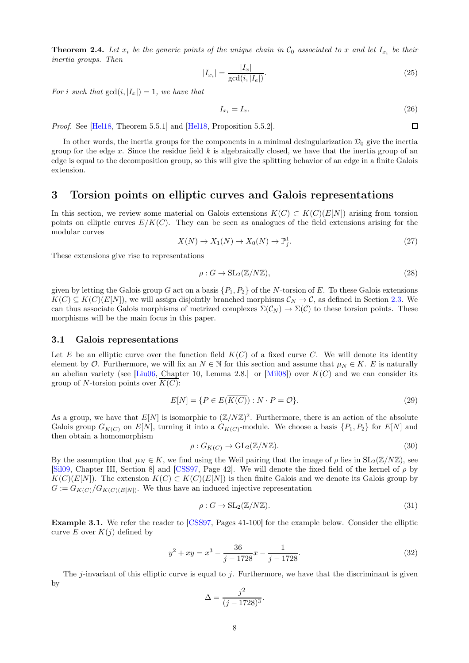<span id="page-7-0"></span>**Theorem 2.4.** Let  $x_i$  be the generic points of the unique chain in  $\mathcal{C}_0$  associated to x and let  $I_{x_i}$  be their inertia groups. Then

$$
|I_{x_i}| = \frac{|I_x|}{\gcd(i, |I_e|)}.
$$
\n(25)

For i such that  $gcd(i, |I_x|) = 1$ , we have that

$$
I_{x_i} = I_x. \tag{26}
$$

 $\Box$ 

Proof. See [\[Hel18,](#page-17-1) Theorem 5.5.1] and [Hel18, Proposition 5.5.2].

In other words, the inertia groups for the components in a minimal desingularization  $\mathcal{D}_0$  give the inertia group for the edge x. Since the residue field k is algebraically closed, we have that the inertia group of an edge is equal to the decomposition group, so this will give the splitting behavior of an edge in a finite Galois extension.

# 3 Torsion points on elliptic curves and Galois representations

In this section, we review some material on Galois extensions  $K(C) \subset K(C)(E[N])$  arising from torsion points on elliptic curves  $E/K(C)$ . They can be seen as analogues of the field extensions arising for the modular curves

$$
X(N) \to X_1(N) \to X_0(N) \to \mathbb{P}_j^1. \tag{27}
$$

These extensions give rise to representations

$$
\rho: G \to \mathrm{SL}_2(\mathbb{Z}/N\mathbb{Z}),\tag{28}
$$

given by letting the Galois group G act on a basis  $\{P_1, P_2\}$  of the N-torsion of E. To these Galois extensions  $K(C) \subseteq K(C)(E[N])$ , we will assign disjointly branched morphisms  $\mathcal{C}_N \to \mathcal{C}$ , as defined in Section [2.3.](#page-3-0) We can thus associate Galois morphisms of metrized complexes  $\Sigma(\mathcal{C}_N) \to \Sigma(\mathcal{C})$  to these torsion points. These morphisms will be the main focus in this paper.

#### <span id="page-7-1"></span>3.1 Galois representations

Let E be an elliptic curve over the function field  $K(C)$  of a fixed curve C. We will denote its identity element by  $\mathcal O$ . Furthermore, we will fix an  $N \in \mathbb N$  for this section and assume that  $\mu_N \in K$ . E is naturally an abelian variety (see [\[Liu06,](#page-17-0) Chapter 10, Lemma 2.8.] or [\[Mil08\]](#page-17-11)) over  $K(C)$  and we can consider its group of N-torsion points over  $\overline{K(C)}$ :

$$
E[N] = \{ P \in E(\overline{K(C)}) : N \cdot P = \mathcal{O} \}.
$$
\n
$$
(29)
$$

As a group, we have that  $E[N]$  is isomorphic to  $(\mathbb{Z}/N\mathbb{Z})^2$ . Furthermore, there is an action of the absolute Galois group  $G_{K(C)}$  on  $E[N]$ , turning it into a  $G_{K(C)}$ -module. We choose a basis  $\{P_1, P_2\}$  for  $E[N]$  and then obtain a homomorphism

$$
\rho: G_{K(C)} \to \mathrm{GL}_2(\mathbb{Z}/N\mathbb{Z}).\tag{30}
$$

By the assumption that  $\mu_N \in K$ , we find using the Weil pairing that the image of  $\rho$  lies in  $SL_2(\mathbb{Z}/N\mathbb{Z})$ , see [\[Sil09,](#page-17-2) Chapter III, Section 8] and [\[CSS97,](#page-17-12) Page 42]. We will denote the fixed field of the kernel of  $\rho$  by  $K(C)(E[N])$ . The extension  $K(C) \subset K(C)(E[N])$  is then finite Galois and we denote its Galois group by  $G := G_{K(C)} / G_{K(C)(E[N])}$ . We thus have an induced injective representation

$$
\rho: G \to \mathrm{SL}_2(\mathbb{Z}/N\mathbb{Z}).\tag{31}
$$

Example 3.1. We refer the reader to [\[CSS97,](#page-17-12) Pages 41-100] for the example below. Consider the elliptic curve E over  $K(i)$  defined by

$$
y^2 + xy = x^3 - \frac{36}{j - 1728}x - \frac{1}{j - 1728}.
$$
\n(32)

The *j*-invariant of this elliptic curve is equal to *j*. Furthermore, we have that the discriminant is given by

$$
\Delta = \frac{j^2}{(j - 1728)^3}.
$$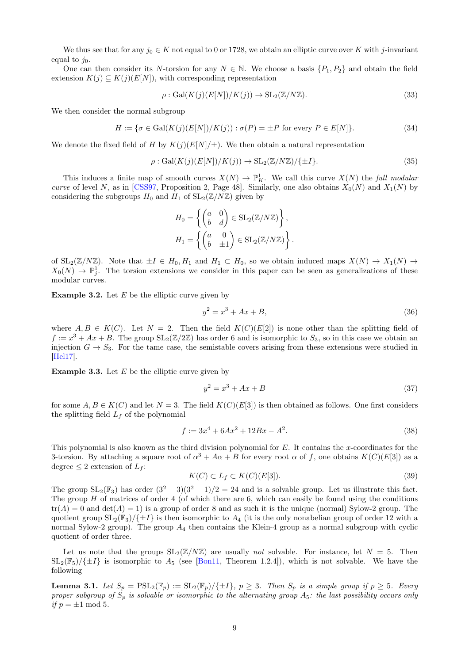We thus see that for any  $j_0 \in K$  not equal to 0 or 1728, we obtain an elliptic curve over K with j-invariant equal to  $i_0$ .

One can then consider its N-torsion for any  $N \in \mathbb{N}$ . We choose a basis  $\{P_1, P_2\}$  and obtain the field extension  $K(j) \subseteq K(j)(E[N])$ , with corresponding representation

$$
\rho: \text{Gal}(K(j)(E[N])/K(j)) \to \text{SL}_2(\mathbb{Z}/N\mathbb{Z}).
$$
\n(33)

We then consider the normal subgroup

$$
H := \{ \sigma \in \text{Gal}(K(j)(E[N])/K(j)) : \sigma(P) = \pm P \text{ for every } P \in E[N] \}. \tag{34}
$$

We denote the fixed field of H by  $K(j)(E[N]/\pm)$ . We then obtain a natural representation

$$
\rho: \text{Gal}(K(j)(E[N])/K(j)) \to \text{SL}_2(\mathbb{Z}/N\mathbb{Z})/\{\pm I\}.
$$
\n(35)

This induces a finite map of smooth curves  $X(N) \to \mathbb{P}^1_K$ . We call this curve  $X(N)$  the *full modular* curve of level N, as in [\[CSS97,](#page-17-12) Proposition 2, Page 48]. Similarly, one also obtains  $X_0(N)$  and  $X_1(N)$  by considering the subgroups  $H_0$  and  $H_1$  of  $SL_2(\mathbb{Z}/N\mathbb{Z})$  given by

$$
H_0 = \left\{ \begin{pmatrix} a & 0 \\ b & d \end{pmatrix} \in SL_2(\mathbb{Z}/N\mathbb{Z}) \right\},
$$
  

$$
H_1 = \left\{ \begin{pmatrix} a & 0 \\ b & \pm 1 \end{pmatrix} \in SL_2(\mathbb{Z}/N\mathbb{Z}) \right\}.
$$

of  $SL_2(\mathbb{Z}/N\mathbb{Z})$ . Note that  $\pm I \in H_0, H_1$  and  $H_1 \subset H_0$ , so we obtain induced maps  $X(N) \to X_1(N) \to$  $X_0(N) \to \mathbb{P}^1_j$ . The torsion extensions we consider in this paper can be seen as generalizations of these modular curves.

**Example 3.2.** Let  $E$  be the elliptic curve given by

$$
y^2 = x^3 + Ax + B,\t\t(36)
$$

where  $A, B \in K(C)$ . Let  $N = 2$ . Then the field  $K(C)(E[2])$  is none other than the splitting field of  $f := x^3 + Ax + B$ . The group  $SL_2(\mathbb{Z}/2\mathbb{Z})$  has order 6 and is isomorphic to  $S_3$ , so in this case we obtain an injection  $G \to S_3$ . For the tame case, the semistable covers arising from these extensions were studied in [\[Hel17\]](#page-17-13).

**Example 3.3.** Let  $E$  be the elliptic curve given by

$$
y^2 = x^3 + Ax + B \tag{37}
$$

for some  $A, B \in K(C)$  and let  $N = 3$ . The field  $K(C)(E[3])$  is then obtained as follows. One first considers the splitting field  $L_f$  of the polynomial

$$
f := 3x^4 + 6Ax^2 + 12Bx - A^2. \tag{38}
$$

This polynomial is also known as the third division polynomial for  $E$ . It contains the x-coordinates for the 3-torsion. By attaching a square root of  $\alpha^3 + A\alpha + B$  for every root  $\alpha$  of f, one obtains  $K(C)(E[3])$  as a degree  $\leq 2$  extension of  $L_f$ :

$$
K(C) \subset L_f \subset K(C)(E[3]). \tag{39}
$$

The group  $SL_2(\mathbb{F}_3)$  has order  $(3^2-3)(3^2-1)/2=24$  and is a solvable group. Let us illustrate this fact. The group  $H$  of matrices of order 4 (of which there are 6, which can easily be found using the conditions  $tr(A) = 0$  and  $det(A) = 1$ ) is a group of order 8 and as such it is the unique (normal) Sylow-2 group. The quotient group  $SL_2(\mathbb{F}_3)/\{\pm I\}$  is then isomorphic to  $A_4$  (it is the only nonabelian group of order 12 with a normal Sylow-2 group). The group  $A_4$  then contains the Klein-4 group as a normal subgroup with cyclic quotient of order three.

Let us note that the groups  $SL_2(\mathbb{Z}/N\mathbb{Z})$  are usually not solvable. For instance, let  $N = 5$ . Then  $SL_2(\mathbb{F}_5)/\{\pm I\}$  is isomorphic to  $A_5$  (see [\[Bon11,](#page-17-14) Theorem 1.2.4]), which is not solvable. We have the following

**Lemma 3.1.** Let  $S_p = \text{PSL}_2(\mathbb{F}_p) := \text{SL}_2(\mathbb{F}_p)/\{\pm I\}$ ,  $p \geq 3$ . Then  $S_p$  is a simple group if  $p \geq 5$ . Every proper subgroup of  $S_p$  is solvable or isomorphic to the alternating group  $A_5$ : the last possibility occurs only if  $p = \pm 1 \mod 5$ .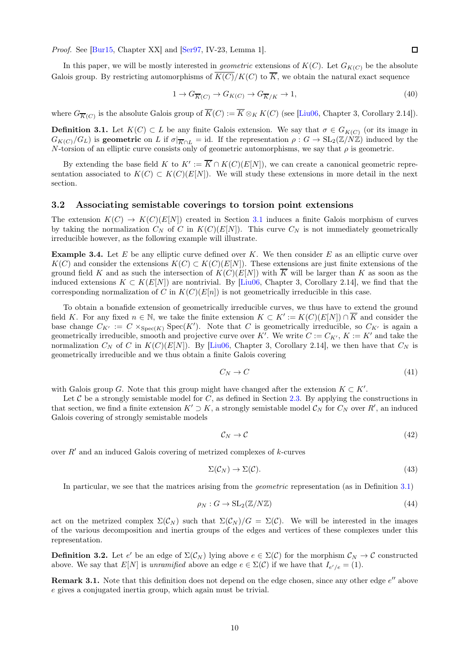Proof. See [\[Bur15,](#page-17-15) Chapter XX] and [\[Ser97,](#page-17-5) IV-23, Lemma 1].

In this paper, we will be mostly interested in *geometric* extensions of  $K(C)$ . Let  $G_{K(C)}$  be the absolute Galois group. By restricting automorphisms of  $\overline{K(C)}/K(C)$  to  $\overline{K}$ , we obtain the natural exact sequence

$$
1 \to G_{\overline{K}(C)} \to G_{K(C)} \to G_{\overline{K}/K} \to 1,\tag{40}
$$

where  $G_{\overline{K}(C)}$  is the absolute Galois group of  $K(C) := K \otimes_K K(C)$  (see [\[Liu06,](#page-17-0) Chapter 3, Corollary 2.14]).

<span id="page-9-0"></span>**Definition 3.1.** Let  $K(C) \subset L$  be any finite Galois extension. We say that  $\sigma \in G_{K(C)}$  (or its image in  $G_{K(C)}/G_L$ ) is geometric on L if  $\sigma|_{\overline{K}\cap L} = id$ . If the representation  $\rho: G \to SL_2(\mathbb{Z}/N\mathbb{Z})$  induced by the N-torsion of an elliptic curve consists only of geometric automorphisms, we say that  $\rho$  is geometric.

By extending the base field K to  $K' := \overline{K} \cap K(C)(E[N])$ , we can create a canonical geometric representation associated to  $K(C) \subset K(C)(E[N])$ . We will study these extensions in more detail in the next section.

#### 3.2 Associating semistable coverings to torsion point extensions

The extension  $K(C) \to K(C)(E[N])$  created in Section [3.1](#page-7-1) induces a finite Galois morphism of curves by taking the normalization  $C_N$  of C in  $K(C)(E[N])$ . This curve  $C_N$  is not immediately geometrically irreducible however, as the following example will illustrate.

**Example 3.4.** Let  $E$  be any elliptic curve defined over  $K$ . We then consider  $E$  as an elliptic curve over  $K(C)$  and consider the extensions  $K(C) \subset K(C)(E[N])$ . These extensions are just finite extensions of the ground field K and as such the intersection of  $K(C)(E[N])$  with  $\overline{K}$  will be larger than K as soon as the induced extensions  $K \subset K(E[N])$  are nontrivial. By [\[Liu06,](#page-17-0) Chapter 3, Corollary 2.14], we find that the corresponding normalization of C in  $K(C)(E[n])$  is not geometrically irreducible in this case.

To obtain a bonafide extension of geometrically irreducible curves, we thus have to extend the ground field K. For any fixed  $n \in \mathbb{N}$ , we take the finite extension  $K \subset K' := K(C)(E[N]) \cap \overline{K}$  and consider the base change  $C_{K'} := C \times_{Spec(K)} Spec(K')$ . Note that C is geometrically irreducible, so  $C_{K'}$  is again a geometrically irreducible, smooth and projective curve over K'. We write  $C := C_{K'}$ ,  $K := K'$  and take the normalization  $C_N$  of C in  $K(C)(E[N])$ . By [\[Liu06,](#page-17-0) Chapter 3, Corollary 2.14], we then have that  $C_N$  is geometrically irreducible and we thus obtain a finite Galois covering

$$
C_N \to C \tag{41}
$$

with Galois group G. Note that this group might have changed after the extension  $K \subset K'$ .

Let  $C$  be a strongly semistable model for  $C$ , as defined in Section [2.3.](#page-3-0) By applying the constructions in that section, we find a finite extension  $K' \supset K$ , a strongly semistable model  $\mathcal{C}_N$  for  $C_N$  over  $R'$ , an induced Galois covering of strongly semistable models

$$
\mathcal{C}_N \to \mathcal{C} \tag{42}
$$

over  $R'$  and an induced Galois covering of metrized complexes of  $k$ -curves

$$
\Sigma(\mathcal{C}_N) \to \Sigma(\mathcal{C}).\tag{43}
$$

In particular, we see that the matrices arising from the geometric representation (as in Definition [3.1\)](#page-9-0)

$$
\rho_N : G \to \mathrm{SL}_2(\mathbb{Z}/N\mathbb{Z}) \tag{44}
$$

act on the metrized complex  $\Sigma(\mathcal{C}_N)$  such that  $\Sigma(\mathcal{C}_N)/G = \Sigma(\mathcal{C})$ . We will be interested in the images of the various decomposition and inertia groups of the edges and vertices of these complexes under this representation.

<span id="page-9-1"></span>**Definition 3.2.** Let e' be an edge of  $\Sigma(\mathcal{C}_N)$  lying above  $e \in \Sigma(\mathcal{C})$  for the morphism  $\mathcal{C}_N \to \mathcal{C}$  constructed above. We say that  $E[N]$  is unramified above an edge  $e \in \Sigma(\mathcal{C})$  if we have that  $I_{e^{\prime}/e} = (1)$ .

**Remark 3.1.** Note that this definition does not depend on the edge chosen, since any other edge  $e''$  above e gives a conjugated inertia group, which again must be trivial.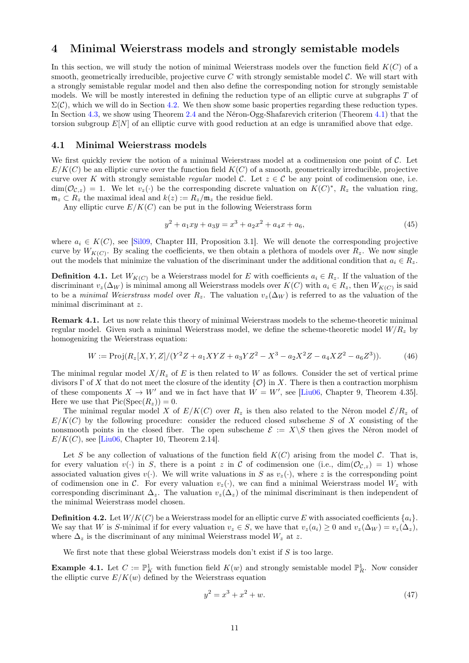## 4 Minimal Weierstrass models and strongly semistable models

In this section, we will study the notion of minimal Weierstrass models over the function field  $K(C)$  of a smooth, geometrically irreducible, projective curve C with strongly semistable model  $\mathcal{C}$ . We will start with a strongly semistable regular model and then also define the corresponding notion for strongly semistable models. We will be mostly interested in defining the reduction type of an elliptic curve at subgraphs T of  $\Sigma(\mathcal{C})$ , which we will do in Section [4.2.](#page-11-0) We then show some basic properties regarding these reduction types. In Section [4.3,](#page-13-1) we show using Theorem [2.4](#page-7-0) and the Néron-Ogg-Shafarevich criterion (Theorem [4.1\)](#page-13-2) that the torsion subgroup  $E[N]$  of an elliptic curve with good reduction at an edge is unramified above that edge.

#### 4.1 Minimal Weierstrass models

We first quickly review the notion of a minimal Weierstrass model at a codimension one point of  $\mathcal{C}$ . Let  $E/K(C)$  be an elliptic curve over the function field  $K(C)$  of a smooth, geometrically irreducible, projective curve over K with strongly semistable *regular* model C. Let  $z \in C$  be any point of codimension one, i.e.  $\dim(\mathcal{O}_{\mathcal{C},z}) = 1$ . We let  $v_z(\cdot)$  be the corresponding discrete valuation on  $K(C)^*$ ,  $R_z$  the valuation ring,  $\mathfrak{m}_z \subset R_z$  the maximal ideal and  $k(z) := R_z/\mathfrak{m}_z$  the residue field.

Any elliptic curve  $E/K(C)$  can be put in the following Weierstrass form

$$
y^2 + a_1xy + a_3y = x^3 + a_2x^2 + a_4x + a_6,
$$
\n(45)

where  $a_i \in K(C)$ , see [\[Sil09,](#page-17-2) Chapter III, Proposition 3.1]. We will denote the corresponding projective curve by  $W_{K(C)}$ . By scaling the coefficients, we then obtain a plethora of models over  $R_z$ . We now single out the models that minimize the valuation of the discriminant under the additional condition that  $a_i \in R_z$ .

**Definition 4.1.** Let  $W_{K(C)}$  be a Weierstrass model for E with coefficients  $a_i \in R_z$ . If the valuation of the discriminant  $v_z(\Delta_W)$  is minimal among all Weierstrass models over  $K(C)$  with  $a_i \in R_z$ , then  $W_{K(C)}$  is said to be a minimal Weierstrass model over  $R_z$ . The valuation  $v_z(\Delta_W)$  is referred to as the valuation of the minimal discriminant at z.

Remark 4.1. Let us now relate this theory of minimal Weierstrass models to the scheme-theoretic minimal regular model. Given such a minimal Weierstrass model, we define the scheme-theoretic model  $W/R<sub>z</sub>$  by homogenizing the Weierstrass equation:

$$
W := \text{Proj}(R_z[X, Y, Z]/(Y^2Z + a_1XYZ + a_3YZ^2 - X^3 - a_2X^2Z - a_4XZ^2 - a_6Z^3)).
$$
 (46)

The minimal regular model  $X/R_z$  of E is then related to W as follows. Consider the set of vertical prime divisors  $\Gamma$  of X that do not meet the closure of the identity  $\{O\}$  in X. There is then a contraction morphism of these components  $X \to W'$  and we in fact have that  $W = W'$ , see [\[Liu06,](#page-17-0) Chapter 9, Theorem 4.35]. Here we use that  $Pic(Spec(R_z)) = 0$ .

The minimal regular model X of  $E/K(C)$  over  $R_z$  is then also related to the Néron model  $\mathcal{E}/R_z$  of  $E/K(C)$  by the following procedure: consider the reduced closed subscheme S of X consisting of the nonsmooth points in the closed fiber. The open subscheme  $\mathcal{E} := X \setminus S$  then gives the Néron model of  $E/K(C)$ , see [\[Liu06,](#page-17-0) Chapter 10, Theorem 2.14].

Let S be any collection of valuations of the function field  $K(C)$  arising from the model C. That is, for every valuation  $v(\cdot)$  in S, there is a point z in C of codimension one (i.e.,  $\dim(\mathcal{O}_{\mathcal{C},z}) = 1$ ) whose associated valuation gives  $v(\cdot)$ . We will write valuations in S as  $v_z(\cdot)$ , where z is the corresponding point of codimension one in C. For every valuation  $v_z(\cdot)$ , we can find a minimal Weierstrass model  $W_z$  with corresponding discriminant  $\Delta_z$ . The valuation  $v_z(\Delta_z)$  of the minimal discriminant is then independent of the minimal Weierstrass model chosen.

**Definition 4.2.** Let  $W/K(C)$  be a Weierstrass model for an elliptic curve E with associated coefficients  $\{a_i\}$ . We say that W is S-minimal if for every valuation  $v_z \in S$ , we have that  $v_z(a_i) \geq 0$  and  $v_z(\Delta_W) = v_z(\Delta_z)$ , where  $\Delta_z$  is the discriminant of any minimal Weierstrass model  $W_z$  at z.

We first note that these global Weierstrass models don't exist if  $S$  is too large.

**Example 4.1.** Let  $C := \mathbb{P}^1_K$  with function field  $K(w)$  and strongly semistable model  $\mathbb{P}^1_R$ . Now consider the elliptic curve  $E/K(w)$  defined by the Weierstrass equation

$$
y^2 = x^3 + x^2 + w.\tag{47}
$$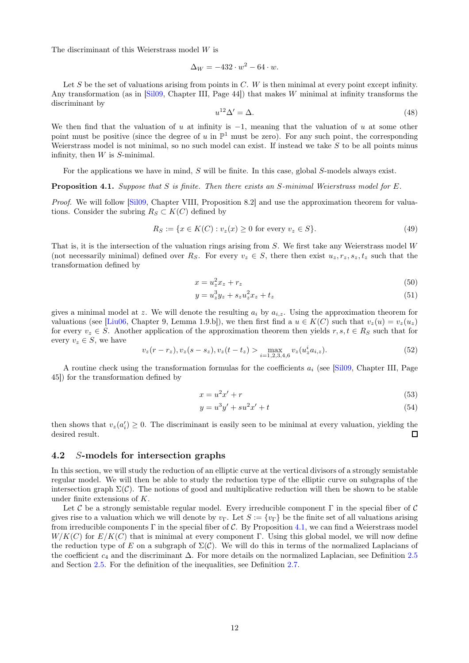The discriminant of this Weierstrass model W is

$$
\Delta_W = -432 \cdot w^2 - 64 \cdot w.
$$

Let S be the set of valuations arising from points in  $C$ . W is then minimal at every point except infinity. Any transformation (as in  $[Si109, Chapter III, Page 44]$ ) that makes W minimal at infinity transforms the discriminant by

$$
u^{12}\Delta' = \Delta. \tag{48}
$$

We then find that the valuation of u at infinity is  $-1$ , meaning that the valuation of u at some other point must be positive (since the degree of u in  $\mathbb{P}^1$  must be zero). For any such point, the corresponding Weierstrass model is not minimal, so no such model can exist. If instead we take  $S$  to be all points minus infinity, then  $W$  is  $S$ -minimal.

For the applications we have in mind, S will be finite. In this case, global S-models always exist.

<span id="page-11-1"></span>**Proposition 4.1.** Suppose that S is finite. Then there exists an S-minimal Weierstrass model for E.

Proof. We will follow [\[Sil09,](#page-17-2) Chapter VIII, Proposition 8.2] and use the approximation theorem for valuations. Consider the subring  $R_S \subset K(C)$  defined by

$$
R_S := \{ x \in K(C) : v_z(x) \ge 0 \text{ for every } v_z \in S \}. \tag{49}
$$

That is, it is the intersection of the valuation rings arising from  $S$ . We first take any Weierstrass model  $W$ (not necessarily minimal) defined over  $R_S$ . For every  $v_z \in S$ , there then exist  $u_z, r_z, s_z, t_z$  such that the transformation defined by

$$
x = u_z^2 x_z + r_z \tag{50}
$$

$$
y = u_z^3 y_z + s_z u_z^2 x_z + t_z \tag{51}
$$

gives a minimal model at z. We will denote the resulting  $a_i$  by  $a_{i,z}$ . Using the approximation theorem for valuations (see [\[Liu06,](#page-17-0) Chapter 9, Lemma 1.9.b]), we then first find a  $u \in K(C)$  such that  $v_z(u) = v_z(u_z)$ for every  $v_z \in S$ . Another application of the approximation theorem then yields  $r, s, t \in R_S$  such that for every  $v_z \in S$ , we have

$$
v_z(r - r_z), v_z(s - s_z), v_z(t - t_z) > \max_{i=1,2,3,4,6} v_z(u_z^i a_{i,z}).
$$
\n(52)

A routine check using the transformation formulas for the coefficients  $a_i$  (see [\[Sil09,](#page-17-2) Chapter III, Page 45]) for the transformation defined by

$$
x = u^2 x' + r \tag{53}
$$

$$
y = u^3 y' + s u^2 x' + t \tag{54}
$$

then shows that  $v_z(a'_i) \geq 0$ . The discriminant is easily seen to be minimal at every valuation, yielding the desired result.  $\Box$ 

#### <span id="page-11-0"></span>4.2 S-models for intersection graphs

In this section, we will study the reduction of an elliptic curve at the vertical divisors of a strongly semistable regular model. We will then be able to study the reduction type of the elliptic curve on subgraphs of the intersection graph  $\Sigma(\mathcal{C})$ . The notions of good and multiplicative reduction will then be shown to be stable under finite extensions of K.

Let C be a strongly semistable regular model. Every irreducible component  $\Gamma$  in the special fiber of C gives rise to a valuation which we will denote by  $v_{\Gamma}$ . Let  $S := \{v_{\Gamma}\}\$  be the finite set of all valuations arising from irreducible components  $\Gamma$  in the special fiber of C. By Proposition [4.1,](#page-11-1) we can find a Weierstrass model  $W/K(C)$  for  $E/K(C)$  that is minimal at every component Γ. Using this global model, we will now define the reduction type of E on a subgraph of  $\Sigma(\mathcal{C})$ . We will do this in terms of the normalized Laplacians of the coefficient  $c_4$  and the discriminant  $\Delta$ . For more details on the normalized Laplacian, see Definition [2.5](#page-5-1) and Section [2.5.](#page-5-0) For the definition of the inequalities, see Definition [2.7.](#page-6-0)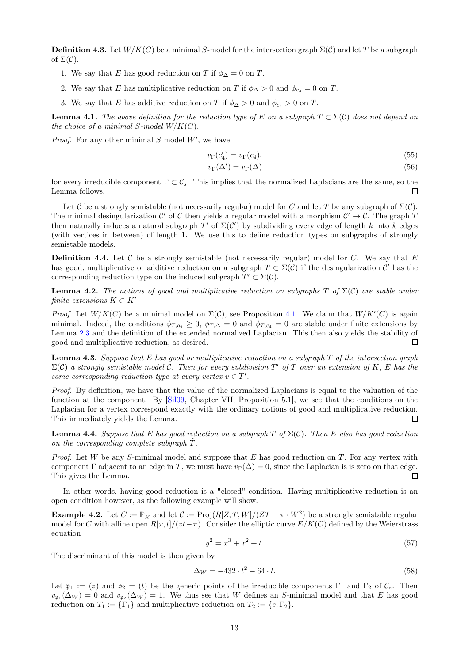<span id="page-12-0"></span>**Definition 4.3.** Let  $W/K(C)$  be a minimal S-model for the intersection graph  $\Sigma(\mathcal{C})$  and let T be a subgraph of  $\Sigma(\mathcal{C})$ .

- 1. We say that E has good reduction on T if  $\phi_{\Delta} = 0$  on T.
- 2. We say that E has multiplicative reduction on T if  $\phi_{\Delta} > 0$  and  $\phi_{c_4} = 0$  on T.
- 3. We say that E has additive reduction on T if  $\phi_{\Delta} > 0$  and  $\phi_{c_4} > 0$  on T.

**Lemma 4.1.** The above definition for the reduction type of E on a subgraph  $T \subset \Sigma(\mathcal{C})$  does not depend on the choice of a minimal S-model  $W/K(C)$ .

*Proof.* For any other minimal  $S$  model  $W'$ , we have

$$
v_{\Gamma}(c_4') = v_{\Gamma}(c_4),\tag{55}
$$

$$
v_{\Gamma}(\Delta') = v_{\Gamma}(\Delta) \tag{56}
$$

for every irreducible component  $\Gamma \subset \mathcal{C}_s$ . This implies that the normalized Laplacians are the same, so the Lemma follows. П

Let C be a strongly semistable (not necessarily regular) model for C and let T be any subgraph of  $\Sigma(\mathcal{C})$ . The minimal desingularization C' of C then yields a regular model with a morphism  $C' \to C$ . The graph T then naturally induces a natural subgraph T' of  $\Sigma(\mathcal{C}')$  by subdividing every edge of length k into k edges (with vertices in between) of length 1. We use this to define reduction types on subgraphs of strongly semistable models.

**Definition 4.4.** Let C be a strongly semistable (not necessarily regular) model for C. We say that E has good, multiplicative or additive reduction on a subgraph  $T \subset \Sigma(\mathcal{C})$  if the desingularization  $\mathcal{C}'$  has the corresponding reduction type on the induced subgraph  $T' \subset \Sigma(\mathcal{C})$ .

**Lemma 4.2.** The notions of good and multiplicative reduction on subgraphs T of  $\Sigma(\mathcal{C})$  are stable under finite extensions  $K \subset K'$ .

*Proof.* Let  $W/K(C)$  be a minimal model on  $\Sigma(C)$ , see Proposition [4.1.](#page-11-1) We claim that  $W/K'(C)$  is again minimal. Indeed, the conditions  $\phi_{T,a_i} \geq 0$ ,  $\phi_{T,\Delta} = 0$  and  $\phi_{T,a_i} = 0$  are stable under finite extensions by Lemma [2.3](#page-5-2) and the definition of the extended normalized Laplacian. This then also yields the stability of good and multiplicative reduction, as desired.  $\Box$ 

<span id="page-12-1"></span>**Lemma 4.3.** Suppose that E has good or multiplicative reduction on a subgraph  $T$  of the intersection graph  $\Sigma(\mathcal{C})$  a strongly semistable model  $\mathcal{C}$ . Then for every subdivision T' of T over an extension of K, E has the same corresponding reduction type at every vertex  $v \in T'$ .

Proof. By definition, we have that the value of the normalized Laplacians is equal to the valuation of the function at the component. By [\[Sil09,](#page-17-2) Chapter VII, Proposition 5.1], we see that the conditions on the Laplacian for a vertex correspond exactly with the ordinary notions of good and multiplicative reduction. This immediately yields the Lemma.  $\Box$ 

**Lemma 4.4.** Suppose that E has good reduction on a subgraph T of  $\Sigma(\mathcal{C})$ . Then E also has good reduction on the corresponding complete subgraph  $\tilde{T}$ .

*Proof.* Let W be any S-minimal model and suppose that E has good reduction on T. For any vertex with component  $\Gamma$  adjacent to an edge in T, we must have  $v_{\Gamma}(\Delta) = 0$ , since the Laplacian is is zero on that edge. This gives the Lemma.  $\Box$ 

In other words, having good reduction is a "closed" condition. Having multiplicative reduction is an open condition however, as the following example will show.

**Example 4.2.** Let  $C := \mathbb{P}^1_K$  and let  $\mathcal{C} := \text{Proj}(R[Z,T,W]/(ZT - \pi \cdot W^2)$  be a strongly semistable regular model for C with affine open  $R[x, t]/(zt-\pi)$ . Consider the elliptic curve  $E/K(C)$  defined by the Weierstrass equation

$$
y^2 = x^3 + x^2 + t.\tag{57}
$$

The discriminant of this model is then given by

$$
\Delta_W = -432 \cdot t^2 - 64 \cdot t. \tag{58}
$$

Let  $\mathfrak{p}_1 := (z)$  and  $\mathfrak{p}_2 = (t)$  be the generic points of the irreducible components  $\Gamma_1$  and  $\Gamma_2$  of  $\mathcal{C}_s$ . Then  $v_{\mathfrak{p}_1}(\Delta_W) = 0$  and  $v_{\mathfrak{p}_2}(\Delta_W) = 1$ . We thus see that W defines an S-minimal model and that E has good reduction on  $T_1 := {\lbrace \Gamma_1 \rbrace}$  and multiplicative reduction on  $T_2 := \lbrace e, \Gamma_2 \rbrace$ .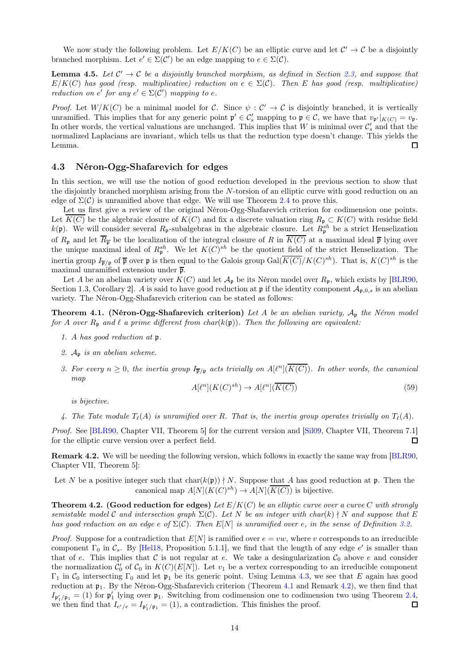We now study the following problem. Let  $E/K(C)$  be an elliptic curve and let  $C' \to C$  be a disjointly branched morphism. Let  $e' \in \Sigma(\mathcal{C}')$  be an edge mapping to  $e \in \Sigma(\mathcal{C})$ .

<span id="page-13-4"></span>**Lemma 4.5.** Let  $C' \rightarrow C$  be a disjointly branched morphism, as defined in Section [2.3,](#page-3-0) and suppose that  $E/K(C)$  has good (resp. multiplicative) reduction on  $e \in \Sigma(C)$ . Then E has good (resp. multiplicative) reduction on e' for any  $e' \in \Sigma(\mathcal{C}')$  mapping to e.

Proof. Let  $W/K(C)$  be a minimal model for C. Since  $\psi: C' \to C$  is disjointly branched, it is vertically unramified. This implies that for any generic point  $\mathfrak{p}' \in \mathcal{C}'_s$  mapping to  $\mathfrak{p} \in \mathcal{C}$ , we have that  $v_{\mathfrak{p}'}|_{K(C)} = v_{\mathfrak{p}}$ . In other words, the vertical valuations are unchanged. This implies that W is minimal over  $\mathcal{C}'_s$  and that the normalized Laplacians are invariant, which tells us that the reduction type doesn't change. This yields the Lemma. П

#### <span id="page-13-1"></span>4.3 Néron-Ogg-Shafarevich for edges

In this section, we will use the notion of good reduction developed in the previous section to show that the disjointly branched morphism arising from the N-torsion of an elliptic curve with good reduction on an edge of  $\Sigma(\mathcal{C})$  is unramified above that edge. We will use Theorem [2.4](#page-7-0) to prove this.

Let us first give a review of the original Néron-Ogg-Shafarevich criterion for codimension one points. Let  $\overline{K(C)}$  be the algebraic closure of  $K(C)$  and fix a discrete valuation ring  $R_p \subset K(C)$  with residue field  $k(\mathfrak{p})$ . We will consider several  $R_{\mathfrak{p}}$ -subalgebras in the algebraic closure. Let  $R_{\mathfrak{p}}^{sh}$  be a strict Henselization of  $R_p$  and let  $\overline{R_p}$  be the localization of the integral closure of R in  $\overline{K(C)}$  at a maximal ideal  $\overline{p}$  lying over the unique maximal ideal of  $R^{sh}_{\mathfrak{p}}$ . We let  $K(C)^{sh}$  be the quotient field of the strict Henselization. The inertia group  $I_{\overline{\mathfrak{p}}/\mathfrak{p}}$  of  $\overline{\mathfrak{p}}$  over  $\mathfrak{p}$  is then equal to the Galois group  $Gal(\overline{K(C)}/K(C)^{sh})$ . That is,  $K(C)^{sh}$  is the maximal unramified extension under  $\bar{p}$ .

Let A be an abelian variety over  $K(C)$  and let  $\mathcal{A}_{\mathfrak{p}}$  be its Néron model over  $R_{\mathfrak{p}}$ , which exists by [\[BLR90,](#page-17-3) Section 1.3, Corollary 2. A is said to have good reduction at p if the identity component  $\mathcal{A}_{p,0,s}$  is an abelian variety. The Néron-Ogg-Shafarevich criterion can be stated as follows:

<span id="page-13-2"></span>**Theorem 4.1. (Néron-Ogg-Shafarevich criterion)** Let A be an abelian variety,  $A_p$  the Néron model for A over  $R_p$  and  $\ell$  a prime different from char( $k(p)$ ). Then the following are equivalent:

- 1. A has good reduction at p.
- 2.  $A_p$  is an abelian scheme.
- 3. For every  $n \geq 0$ , the inertia group  $I_{\overline{p}/p}$  acts trivially on  $A[\ell^n](\overline{K(C)})$ . In other words, the canonical map

$$
A[\ell^n](K(C)^{sh}) \to A[\ell^n](\overline{K(C)})\tag{59}
$$

is bijective.

4. The Tate module  $T_{\ell}(A)$  is unramified over R. That is, the inertia group operates trivially on  $T_{\ell}(A)$ .

Proof. See [\[BLR90,](#page-17-3) Chapter VII, Theorem 5] for the current version and [\[Sil09,](#page-17-2) Chapter VII, Theorem 7.1] for the elliptic curve version over a perfect field.  $\Box$ 

<span id="page-13-3"></span>Remark 4.2. We will be needing the following version, which follows in exactly the same way from [\[BLR90,](#page-17-3) Chapter VII, Theorem 5]:

Let N be a positive integer such that  $char(k(\mathfrak{p})) \nmid N$ . Suppose that A has good reduction at p. Then the canonical map  $A[N](K(C)^{sh}) \to A[N](\overline{K(C)})$  is bijective.

<span id="page-13-0"></span>**Theorem 4.2. (Good reduction for edges)** Let  $E/K(C)$  be an elliptic curve over a curve C with strongly semistable model C and intersection graph  $\Sigma(C)$ . Let N be an integer with char(k)  $\nmid N$  and suppose that E has good reduction on an edge e of  $\Sigma(\mathcal{C})$ . Then  $E[N]$  is unramified over e, in the sense of Definition [3.2.](#page-9-1)

*Proof.* Suppose for a contradiction that  $E[N]$  is ramified over  $e = vw$ , where v corresponds to an irreducible component  $\Gamma_0$  in  $\mathcal{C}_s$ . By [\[Hel18,](#page-17-1) Proposition 5.1.1], we find that the length of any edge e' is smaller than that of e. This implies that C is not regular at e. We take a desingularization  $\mathcal{C}_0$  above e and consider the normalization  $\mathcal{C}'_0$  of  $\mathcal{C}_0$  in  $K(C)(E[N])$ . Let  $v_1$  be a vertex corresponding to an irreducible component  $\Gamma_1$  in  $\mathcal{C}_0$  intersecting  $\Gamma_0$  and let  $\mathfrak{p}_1$  be its generic point. Using Lemma [4.3,](#page-12-1) we see that E again has good reduction at  $\mathfrak{p}_1$ . By the Néron-Ogg-Shafarevich criterion (Theorem [4.1](#page-13-2) and Remark [4.2\)](#page-13-3), we then find that  $I_{\mathfrak{p}'_1/\mathfrak{p}_1} = (1)$  for  $\mathfrak{p}'_1$  lying over  $\mathfrak{p}_1$ . Switching from codimension one to codimension two using Theorem [2.4,](#page-7-0) we then find that  $I_{e'/e} = I_{\mathfrak{p}'_1/\mathfrak{p}_1} = (1)$ , a contradiction. This finishes the proof. П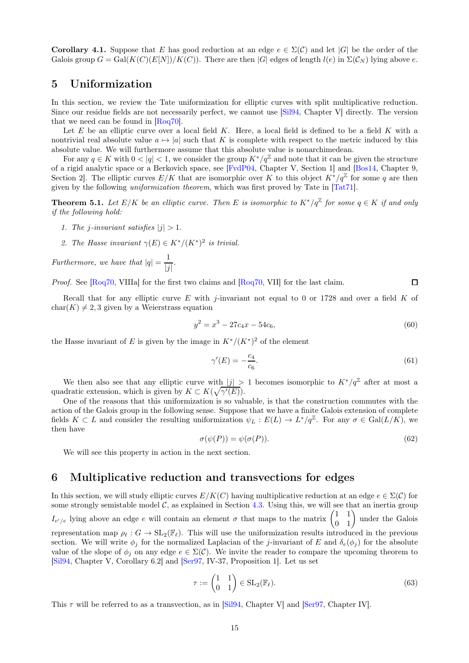**Corollary 4.1.** Suppose that E has good reduction at an edge  $e \in \Sigma(\mathcal{C})$  and let  $|G|$  be the order of the Galois group  $G = \text{Gal}(K(C)(E[N])/K(C))$ . There are then |G| edges of length  $l(e)$  in  $\Sigma(C_N)$  lying above e.

# <span id="page-14-0"></span>5 Uniformization

In this section, we review the Tate uniformization for elliptic curves with split multiplicative reduction. Since our residue fields are not necessarily perfect, we cannot use [\[Sil94,](#page-17-16) Chapter V] directly. The version that we need can be found in [\[Roq70\]](#page-17-17).

Let  $E$  be an elliptic curve over a local field  $K$ . Here, a local field is defined to be a field  $K$  with a nontrivial real absolute value  $a \mapsto |a|$  such that K is complete with respect to the metric induced by this absolute value. We will furthermore assume that this absolute value is nonarchimedean.

For any  $q \in K$  with  $0 < |q| < 1$ , we consider the group  $K^*/q^{\mathbb{Z}}$  and note that it can be given the structure of a rigid analytic space or a Berkovich space, see [\[FvdP04,](#page-17-18) Chapter V, Section 1] and [\[Bos14,](#page-17-19) Chapter 9, Section 2. The elliptic curves  $E/K$  that are isomorphic over K to this object  $K^*/q^{\mathbb{Z}}$  for some q are then given by the following uniformization theorem, which was first proved by Tate in [\[Tat71\]](#page-18-0).

<span id="page-14-1"></span>**Theorem 5.1.** Let  $E/K$  be an elliptic curve. Then E is isomorphic to  $K^*/q^{\mathbb{Z}}$  for some  $q \in K$  if and only if the following hold:

- 1. The j-invariant satisfies  $|j| > 1$ .
- 2. The Hasse invariant  $\gamma(E) \in K^*/(K^*)^2$  is trivial.

Furthermore, we have that  $|q| = \frac{1}{16}$  $\frac{1}{|j|}$ .

Proof. See [\[Roq70,](#page-17-17) VIIIa] for the first two claims and [Roq70, VII] for the last claim.  $\Box$ 

Recall that for any elliptic curve E with *j*-invariant not equal to 0 or 1728 and over a field K of  $char(K) \neq 2, 3$  given by a Weierstrass equation

$$
y^2 = x^3 - 27c_4x - 54c_6, \tag{60}
$$

the Hasse invariant of E is given by the image in  $K^*/(K^*)^2$  of the element

$$
\gamma'(E) = -\frac{c_4}{c_6}.\tag{61}
$$

We then also see that any elliptic curve with  $|j| > 1$  becomes isomorphic to  $K^*/q^{\mathbb{Z}}$  after at most a quadratic extension, which is given by  $K \subset K(\sqrt{\gamma'(E)})$ .

One of the reasons that this uniformization is so valuable, is that the construction commutes with the action of the Galois group in the following sense. Suppose that we have a finite Galois extension of complete fields  $K \subset L$  and consider the resulting uniformization  $\psi_L : E(L) \to L^*/q^{\mathbb{Z}}$ . For any  $\sigma \in \text{Gal}(L/K)$ , we then have

$$
\sigma(\psi(P)) = \psi(\sigma(P)).\tag{62}
$$

We will see this property in action in the next section.

# 6 Multiplicative reduction and transvections for edges

In this section, we will study elliptic curves  $E/K(C)$  having multiplicative reduction at an edge  $e \in \Sigma(\mathcal{C})$  for some strongly semistable model  $C$ , as explained in Section [4.3.](#page-12-0) Using this, we will see that an inertia group  $I_{e'/e}$  lying above an edge e will contain an element  $\sigma$  that maps to the matrix  $\begin{pmatrix} 1 & 1 \\ 0 & 1 \end{pmatrix}$  under the Galois representation map  $\rho_{\ell}: G \to SL_2(\mathbb{F}_{\ell})$ . This will use the uniformization results introduced in the previous section. We will write  $\phi_j$  for the normalized Laplacian of the j-invariant of E and  $\delta_e(\phi_j)$  for the absolute value of the slope of  $\phi_i$  on any edge  $e \in \Sigma(\mathcal{C})$ . We invite the reader to compare the upcoming theorem to [\[Sil94,](#page-17-16) Chapter V, Corollary 6.2] and [\[Ser97,](#page-17-5) IV-37, Proposition 1]. Let us set

$$
\tau := \begin{pmatrix} 1 & 1 \\ 0 & 1 \end{pmatrix} \in SL_2(\mathbb{F}_{\ell}).\tag{63}
$$

This  $\tau$  will be referred to as a transvection, as in [\[Sil94,](#page-17-16) Chapter V] and [\[Ser97,](#page-17-5) Chapter IV].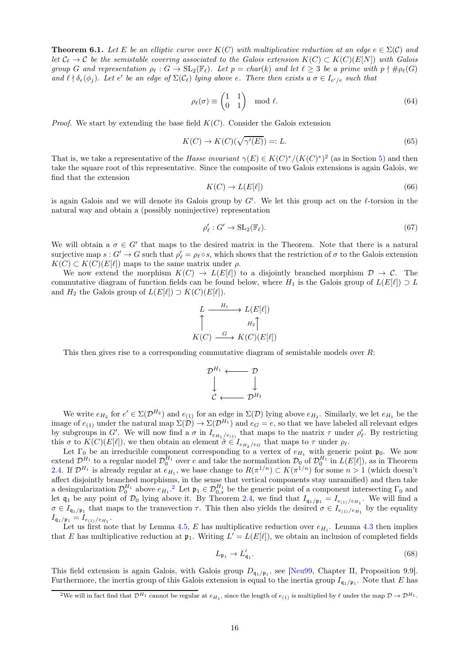<span id="page-15-0"></span>**Theorem 6.1.** Let E be an elliptic curve over  $K(C)$  with multiplicative reduction at an edge  $e \in \Sigma(C)$  and let  $\mathcal{C}_{\ell} \to \mathcal{C}$  be the semistable covering associated to the Galois extension  $K(C) \subset K(C)(E[N])$  with Galois group G and representation  $\rho_{\ell}: G \to SL_2(\mathbb{F}_{\ell})$ . Let  $p = char(k)$  and let  $\ell \geq 3$  be a prime with  $p \nmid \# \rho_{\ell}(G)$ and  $\ell \nmid \delta_e(\phi_j)$ . Let e' be an edge of  $\Sigma(\mathcal{C}_{\ell})$  lying above e. There then exists a  $\sigma \in I_{e'/e}$  such that

$$
\rho_{\ell}(\sigma) \equiv \begin{pmatrix} 1 & 1 \\ 0 & 1 \end{pmatrix} \mod \ell.
$$
 (64)

*Proof.* We start by extending the base field  $K(C)$ . Consider the Galois extension

$$
K(C) \to K(C)(\sqrt{\gamma'(E)}) =: L. \tag{65}
$$

That is, we take a representative of the *Hasse invariant*  $\gamma(E) \in K(C)^*/(K(C)^*)^2$  (as in Section [5\)](#page-14-0) and then take the square root of this representative. Since the composite of two Galois extensions is again Galois, we find that the extension

$$
K(C) \to L(E[\ell]) \tag{66}
$$

is again Galois and we will denote its Galois group by  $G'$ . We let this group act on the  $\ell$ -torsion in the natural way and obtain a (possibly noninjective) representation

$$
\rho'_{\ell}: G' \to \mathrm{SL}_2(\mathbb{F}_{\ell}).\tag{67}
$$

We will obtain a  $\sigma \in G'$  that maps to the desired matrix in the Theorem. Note that there is a natural surjective map  $s: G' \to G$  such that  $\rho'_\ell = \rho_\ell \circ s$ , which shows that the restriction of  $\sigma$  to the Galois extension  $K(C) \subset K(C)(E[\ell])$  maps to the same matrix under  $\rho$ .

We now extend the morphism  $K(C) \to L(E[\ell])$  to a disjointly branched morphism  $\mathcal{D} \to \mathcal{C}$ . The commutative diagram of function fields can be found below, where  $H_1$  is the Galois group of  $L(E[\ell]) \supset L$ and  $H_2$  the Galois group of  $L(E[\ell]) \supset K(C)(E[\ell]).$ 

$$
L \xrightarrow{H_1} L(E[\ell])
$$
  
\n
$$
\uparrow H_2 \uparrow
$$
  
\n
$$
K(C) \xrightarrow{G} K(C)(E[\ell])
$$

This then gives rise to a corresponding commutative diagram of semistable models over  $R$ :

$$
\begin{array}{ccc} \mathcal{D}^{H_1} \longleftarrow & \mathcal{D} \\ \downarrow & & \downarrow \\ \mathcal{C} \longleftarrow & \mathcal{D}^{H_2} \end{array}
$$

We write  $e_{H_2}$  for  $e' \in \Sigma(\mathcal{D}^{H_2})$  and  $e_{(1)}$  for an edge in  $\Sigma(\mathcal{D})$  lying above  $e_{H_2}$ . Similarly, we let  $e_{H_1}$  be the image of  $e_{(1)}$  under the natural map  $\Sigma(\mathcal{D}) \to \Sigma(\mathcal{D}^{H_1})$  and  $e_G = e$ , so that we have labeled all relevant edges by subgroups in G'. We will now find a  $\sigma$  in  $I_{e_{H_1}/e_{(1)}}$  that maps to the matrix  $\tau$  under  $\rho'_\ell$ . By restricting this  $\sigma$  to  $K(C)(E[\ell])$ , we then obtain an element  $\tilde{\sigma} \in I_{e_{H_2}/e_G}$  that maps to  $\tau$  under  $\rho_{\ell}$ .

Let  $\Gamma_0$  be an irreducible component corresponding to a vertex of  $e_{H_1}$  with generic point  $\mathfrak{p}_0$ . We now extend  $\mathcal{D}_1^{H_1}$  to a regular model  $\mathcal{D}_0^{H_1}$  over e and take the normalization  $\mathcal{D}_0$  of  $\mathcal{D}_0^{H_1}$  in  $L(E[\ell])$ , as in Theorem [2.4.](#page-7-0) If  $\mathcal{D}^{H_1}$  is already regular at  $e_{H_1}$ , we base change to  $R(\pi^{1/n}) \subset K(\pi^{1/n})$  for some  $n > 1$  (which doesn't affect disjointly branched morphisms, in the sense that vertical components stay unramified) and then take a desingularization  $\mathcal{D}_0^{H_1}$  above  $e_{H_1}$ .<sup>[2](#page-15-1)</sup> Let  $\mathfrak{p}_1 \in \mathcal{D}_{0,s}^{H_1}$  be the generic point of a component intersecting  $\Gamma_0$  and let  $\mathfrak{q}_1$  be any point of  $\mathcal{D}_0$  lying above it. By Theorem [2.4,](#page-7-0) we find that  $I_{\mathfrak{q}_1/\mathfrak{p}_1} = I_{e_{(1)}/e_{H_1}}$ . We will find a  $\sigma \in I_{\mathfrak{q}_1/\mathfrak{p}_1}$  that maps to the transvection  $\tau$ . This then also yields the desired  $\sigma \in I_{e_{(1)}/e_{H_1}}$  by the equality  $I_{\mathfrak{q}_1/\mathfrak{p}_1} = I_{e_{(1)}/e_{H_1}}.$ 

Let us first note that by Lemma [4.5,](#page-13-4) E has multiplicative reduction over  $e_{H_1}$ . Lemma [4.3](#page-12-1) then implies that E has multiplicative reduction at  $\mathfrak{p}_1$ . Writing  $L' = L(E[\ell])$ , we obtain an inclusion of completed fields

$$
L_{\mathfrak{p}_1} \to L_{\mathfrak{q}_1}'.\tag{68}
$$

This field extension is again Galois, with Galois group  $D_{q_1/p_1}$ , see [\[Neu99,](#page-17-20) Chapter II, Proposition 9.9]. Furthermore, the inertia group of this Galois extension is equal to the inertia group  $I_{\mathfrak{q}_1/\mathfrak{p}_1}$ . Note that E has

<span id="page-15-1"></span><sup>&</sup>lt;sup>2</sup>We will in fact find that  $\mathcal{D}^{H_1}$  cannot be regular at  $e_{H_1}$ , since the length of  $e_{(1)}$  is multiplied by  $\ell$  under the map  $\mathcal{D} \to \mathcal{D}^{H_1}$ .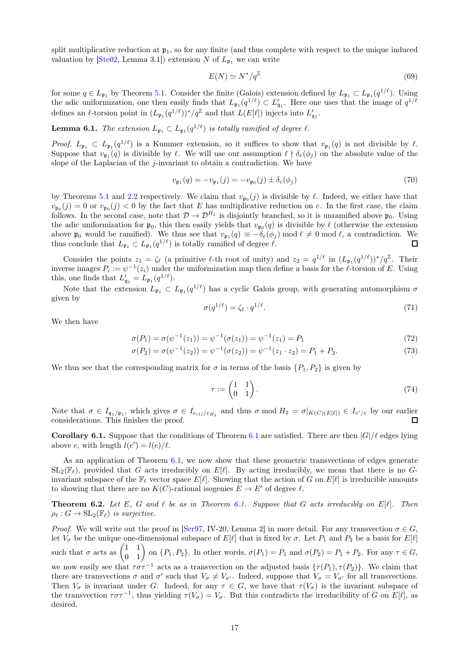split multiplicative reduction at  $\mathfrak{p}_1$ , so for any finite (and thus complete with respect to the unique induced valuation by  $[Ste02, Lemma 3.1])$  extension N of  $L_{\mathfrak{p}_1}$  we can write

$$
E(N) \simeq N^*/q^{\mathbb{Z}} \tag{69}
$$

for some  $q \in L_{\mathfrak{p}_1}$  by Theorem [5.1.](#page-14-1) Consider the finite (Galois) extension defined by  $L_{\mathfrak{p}_1} \subset L_{\mathfrak{p}_1}(q^{1/\ell})$ . Using the adic uniformization, one then easily finds that  $L_{\mathfrak{p}_1}(q^{1/\ell}) \subset L'_{\mathfrak{q}_1}$ . Here one uses that the image of  $q^{1/\ell}$ defines an  $\ell$ -torsion point in  $(L_{\mathfrak{p}_1}(q^{1/\ell}))^*/q^{\mathbb{Z}}$  and that  $L(E[\ell])$  injects into  $L'_{\mathfrak{q}_1}$ .

**Lemma 6.1.** The extension  $L_{\mathfrak{p}_1} \subset L_{\mathfrak{p}_1}(q^{1/\ell})$  is totally ramified of degree  $\ell$ .

*Proof.*  $L_{\mathfrak{p}_1} \subset L_{\mathfrak{p}_1}(q^{1/\ell})$  is a Kummer extension, so it suffices to show that  $v_{\mathfrak{p}_1}(q)$  is not divisible by  $\ell$ . Suppose that  $v_{\mathfrak{p}_1}(q)$  is divisible by  $\ell$ . We will use our assumption  $\ell \nmid \delta_e(\phi_j)$  on the absolute value of the slope of the Laplacian of the  $j$ -invariant to obtain a contradiction. We have

$$
v_{\mathfrak{p}_1}(q) = -v_{\mathfrak{p}_1}(j) = -v_{\mathfrak{p}_0}(j) \pm \delta_e(\phi_j)
$$
\n
$$
(70)
$$

by Theorems [5.1](#page-14-1) and [2.2](#page-4-1) respectively. We claim that  $v_{\mathfrak{p}_0}(j)$  is divisible by  $\ell$ . Indeed, we either have that  $v_{\mathfrak{p}_0}(j) = 0$  or  $v_{\mathfrak{p}_0}(j) < 0$  by the fact that E has multiplicative reduction on e. In the first case, the claim follows. In the second case, note that  $\mathcal{D} \to \mathcal{D}^{H_1}$  is disjointly branched, so it is unramified above  $\mathfrak{p}_0$ . Using the adic uniformization for  $\mathfrak{p}_0$ , this then easily yields that  $v_{\mathfrak{p}_0}(q)$  is divisible by  $\ell$  (otherwise the extension above  $\mathfrak{p}_0$  would be ramified). We thus see that  $v_{\mathfrak{p}_1}(q) \equiv -\delta_e(\phi_j) \mod l \neq 0 \mod l$ , a contradiction. We thus conclude that  $L_{\mathfrak{p}_1} \subset L_{\mathfrak{p}_1}(q^{1/\ell})$  is totally ramified of degree  $\ell$ . □

Consider the points  $z_1 = \zeta_{\ell}$  (a primitive  $\ell$ -th root of unity) and  $z_2 = q^{1/\ell}$  in  $(L_{\mathfrak{p}_1}(q^{1/\ell}))^*/q^{\mathbb{Z}}$ . Their inverse images  $P_i := \psi^{-1}(z_i)$  under the uniformization map then define a basis for the  $\ell$ -torsion of E. Using this, one finds that  $L'_{\mathfrak{q}_1} = L_{\mathfrak{p}_1}(q^{1/\ell}).$ 

Note that the extension  $L_{\mathfrak{p}_1} \subset L_{\mathfrak{p}_1}(q^{1/\ell})$  has a cyclic Galois group, with generating automorphism  $\sigma$ given by

$$
\sigma(q^{1/\ell}) = \zeta_{\ell} \cdot q^{1/\ell}.\tag{71}
$$

We then have

$$
\sigma(P_1) = \sigma(\psi^{-1}(z_1)) = \psi^{-1}(\sigma(z_1)) = \psi^{-1}(z_1) = P_1 \tag{72}
$$

$$
\sigma(P_2) = \sigma(\psi^{-1}(z_2)) = \psi^{-1}(\sigma(z_2)) = \psi^{-1}(z_1 \cdot z_2) = P_1 + P_2.
$$
\n(73)

We thus see that the corresponding matrix for  $\sigma$  in terms of the basis  $\{P_1, P_2\}$  is given by

$$
\tau := \begin{pmatrix} 1 & 1 \\ 0 & 1 \end{pmatrix} . \tag{74}
$$

Note that  $\sigma \in I_{\mathfrak{q}_1/\mathfrak{p}_1}$ , which gives  $\sigma \in I_{e_{(1)}/e_{H_1}}$  and thus  $\sigma \mod H_2 = \sigma|_{K(C)(E[\ell])} \in I_{e'/e}$  by our earlier considerations. This finishes the proof.  $\Box$ 

**Corollary [6.1](#page-15-0).** Suppose that the conditions of Theorem 6.1 are satisfied. There are then  $|G|/\ell$  edges lying above e, with length  $l(e') = l(e)/\ell$ .

As an application of Theorem [6.1,](#page-15-0) we now show that these geometric transvections of edges generate  $SL_2(\mathbb{F}_\ell)$ , provided that G acts irreducibly on  $E[\ell]$ . By acting irreducibly, we mean that there is no Ginvariant subspace of the  $\mathbb{F}_\ell$  vector space  $E[\ell]$ . Showing that the action of G on  $E[\ell]$  is irreducible amounts to showing that there are no  $K(C)$ -rational isogenies  $E \to E'$  of degree  $\ell$ .

<span id="page-16-0"></span>**Theorem 6.2.** Let E, G and  $\ell$  be as in Theorem [6.1.](#page-15-0) Suppose that G acts irreducibly on  $E[\ell]$ . Then  $\rho_{\ell}: G \to SL_2(\mathbb{F}_{\ell})$  is surjective.

*Proof.* We will write out the proof in [\[Ser97,](#page-17-5) IV-20, Lemma 2] in more detail. For any transvection  $\sigma \in G$ , let  $V_{\sigma}$  be the unique one-dimensional subspace of  $E[\ell]$  that is fixed by  $\sigma$ . Let  $P_1$  and  $P_2$  be a basis for  $E[\ell]$ such that  $\sigma$  acts as  $\begin{pmatrix} 1 & 1 \\ 0 & 1 \end{pmatrix}$  on  $\{P_1, P_2\}$ . In other words,  $\sigma(P_1) = P_1$  and  $\sigma(P_2) = P_1 + P_2$ . For any  $\tau \in G$ , we now easily see that  $\tau \sigma \tau^{-1}$  acts as a transvection on the adjusted basis  $\{\tau(P_1), \tau(P_2)\}\$ . We claim that there are transvections  $\sigma$  and  $\sigma'$  such that  $V_{\sigma} \neq V_{\sigma'}$ . Indeed, suppose that  $V_{\sigma} = V_{\sigma'}$  for all transvections. Then  $V_{\sigma}$  is invariant under G. Indeed, for any  $\tau \in G$ , we have that  $\tau(V_{\sigma})$  is the invariant subspace of the transvection  $\tau \sigma \tau^{-1}$ , thus yielding  $\tau(V_{\sigma}) = V_{\sigma}$ . But this contradicts the irreducibility of G on E[ℓ], as desired.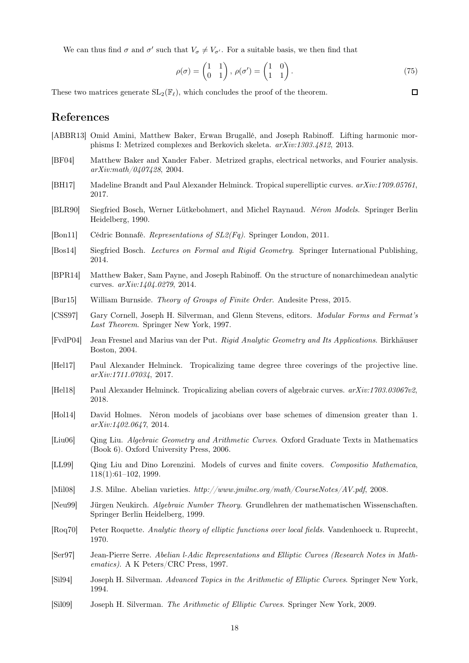We can thus find  $\sigma$  and  $\sigma'$  such that  $V_{\sigma} \neq V_{\sigma'}$ . For a suitable basis, we then find that

$$
\rho(\sigma) = \begin{pmatrix} 1 & 1 \\ 0 & 1 \end{pmatrix}, \ \rho(\sigma') = \begin{pmatrix} 1 & 0 \\ 1 & 1 \end{pmatrix}.
$$
\n(75)

These two matrices generate  $SL_2(\mathbb{F}_\ell)$ , which concludes the proof of the theorem.

 $\Box$ 

# References

- <span id="page-17-6"></span>[ABBR13] Omid Amini, Matthew Baker, Erwan Brugallé, and Joseph Rabinoff. Lifting harmonic morphisms I: Metrized complexes and Berkovich skeleta. arXiv:1303.4812, 2013.
- <span id="page-17-10"></span>[BF04] Matthew Baker and Xander Faber. Metrized graphs, electrical networks, and Fourier analysis. arXiv:math/0407428, 2004.
- <span id="page-17-7"></span>[BH17] Madeline Brandt and Paul Alexander Helminck. Tropical superelliptic curves. arXiv:1709.05761, 2017.
- <span id="page-17-3"></span>[BLR90] Siegfried Bosch, Werner Lütkebohmert, and Michel Raynaud. Néron Models. Springer Berlin Heidelberg, 1990.
- <span id="page-17-14"></span>[Bon11] Cédric Bonnafé. Representations of SL2(Fq). Springer London, 2011.
- <span id="page-17-19"></span>[Bos14] Siegfried Bosch. Lectures on Formal and Rigid Geometry. Springer International Publishing, 2014.
- <span id="page-17-8"></span>[BPR14] Matthew Baker, Sam Payne, and Joseph Rabinoff. On the structure of nonarchimedean analytic curves. arXiv:1404.0279, 2014.
- <span id="page-17-15"></span>[Bur15] William Burnside. Theory of Groups of Finite Order. Andesite Press, 2015.
- <span id="page-17-12"></span>[CSS97] Gary Cornell, Joseph H. Silverman, and Glenn Stevens, editors. Modular Forms and Fermat's Last Theorem. Springer New York, 1997.
- <span id="page-17-18"></span>[FvdP04] Jean Fresnel and Marius van der Put. Rigid Analytic Geometry and Its Applications. Birkhäuser Boston, 2004.
- <span id="page-17-13"></span>[Hel17] Paul Alexander Helminck. Tropicalizing tame degree three coverings of the projective line. arXiv:1711.07034, 2017.
- <span id="page-17-1"></span>[Hel18] Paul Alexander Helminck. Tropicalizing abelian covers of algebraic curves. arXiv:1703.03067v2, 2018.
- <span id="page-17-4"></span>[Hol14] David Holmes. Néron models of jacobians over base schemes of dimension greater than 1. arXiv:1402.0647, 2014.
- <span id="page-17-0"></span>[Liu06] Qing Liu. Algebraic Geometry and Arithmetic Curves. Oxford Graduate Texts in Mathematics (Book 6). Oxford University Press, 2006.
- <span id="page-17-9"></span>[LL99] Qing Liu and Dino Lorenzini. Models of curves and finite covers. Compositio Mathematica, 118(1):61–102, 1999.
- <span id="page-17-11"></span>[Mil08] J.S. Milne. Abelian varieties. http://www.jmilne.org/math/CourseNotes/AV.pdf, 2008.
- <span id="page-17-20"></span>[Neu99] Jürgen Neukirch. Algebraic Number Theory. Grundlehren der mathematischen Wissenschaften. Springer Berlin Heidelberg, 1999.
- <span id="page-17-17"></span>[Roq70] Peter Roquette. Analytic theory of elliptic functions over local fields. Vandenhoeck u. Ruprecht, 1970.
- <span id="page-17-5"></span>[Ser97] Jean-Pierre Serre. Abelian l-Adic Representations and Elliptic Curves (Research Notes in Mathematics). A K Peters/CRC Press, 1997.
- <span id="page-17-16"></span>[Sil94] Joseph H. Silverman. Advanced Topics in the Arithmetic of Elliptic Curves. Springer New York, 1994.
- <span id="page-17-2"></span>[Sil09] Joseph H. Silverman. The Arithmetic of Elliptic Curves. Springer New York, 2009.